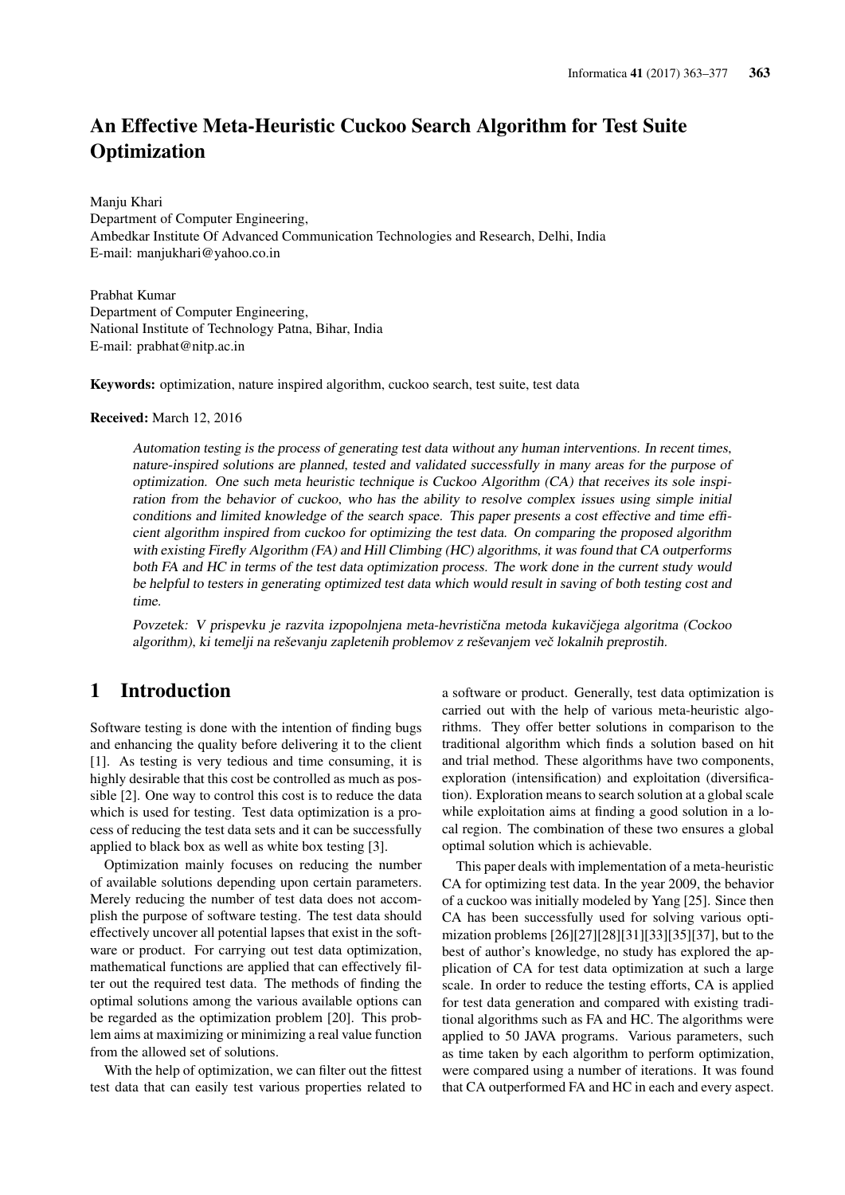# An Effective Meta-Heuristic Cuckoo Search Algorithm for Test Suite **Optimization**

Manju Khari Department of Computer Engineering, Ambedkar Institute Of Advanced Communication Technologies and Research, Delhi, India E-mail: manjukhari@yahoo.co.in

Prabhat Kumar Department of Computer Engineering, National Institute of Technology Patna, Bihar, India E-mail: prabhat@nitp.ac.in

Keywords: optimization, nature inspired algorithm, cuckoo search, test suite, test data

#### Received: March 12, 2016

Automation testing is the process of generating test data without any human interventions. In recent times, nature-inspired solutions are planned, tested and validated successfully in many areas for the purpose of optimization. One such meta heuristic technique is Cuckoo Algorithm (CA) that receives its sole inspiration from the behavior of cuckoo, who has the ability to resolve complex issues using simple initial conditions and limited knowledge of the search space. This paper presents a cost effective and time efficient algorithm inspired from cuckoo for optimizing the test data. On comparing the proposed algorithm with existing Firefly Algorithm (FA) and Hill Climbing (HC) algorithms, it was found that CA outperforms both FA and HC in terms of the test data optimization process. The work done in the current study would be helpful to testers in generating optimized test data which would result in saving of both testing cost and time.

Povzetek: V prispevku je razvita izpopolnjena meta-hevristična metoda kukavičjega algoritma (Cockoo algorithm), ki temelji na reševanju zapletenih problemov z reševanjem več lokalnih preprostih.

# 1 Introduction

Software testing is done with the intention of finding bugs and enhancing the quality before delivering it to the client [1]. As testing is very tedious and time consuming, it is highly desirable that this cost be controlled as much as possible [2]. One way to control this cost is to reduce the data which is used for testing. Test data optimization is a process of reducing the test data sets and it can be successfully applied to black box as well as white box testing [3].

Optimization mainly focuses on reducing the number of available solutions depending upon certain parameters. Merely reducing the number of test data does not accomplish the purpose of software testing. The test data should effectively uncover all potential lapses that exist in the software or product. For carrying out test data optimization, mathematical functions are applied that can effectively filter out the required test data. The methods of finding the optimal solutions among the various available options can be regarded as the optimization problem [20]. This problem aims at maximizing or minimizing a real value function from the allowed set of solutions.

With the help of optimization, we can filter out the fittest test data that can easily test various properties related to a software or product. Generally, test data optimization is carried out with the help of various meta-heuristic algorithms. They offer better solutions in comparison to the traditional algorithm which finds a solution based on hit and trial method. These algorithms have two components, exploration (intensification) and exploitation (diversification). Exploration means to search solution at a global scale while exploitation aims at finding a good solution in a local region. The combination of these two ensures a global optimal solution which is achievable.

This paper deals with implementation of a meta-heuristic CA for optimizing test data. In the year 2009, the behavior of a cuckoo was initially modeled by Yang [25]. Since then CA has been successfully used for solving various optimization problems [26][27][28][31][33][35][37], but to the best of author's knowledge, no study has explored the application of CA for test data optimization at such a large scale. In order to reduce the testing efforts, CA is applied for test data generation and compared with existing traditional algorithms such as FA and HC. The algorithms were applied to 50 JAVA programs. Various parameters, such as time taken by each algorithm to perform optimization, were compared using a number of iterations. It was found that CA outperformed FA and HC in each and every aspect.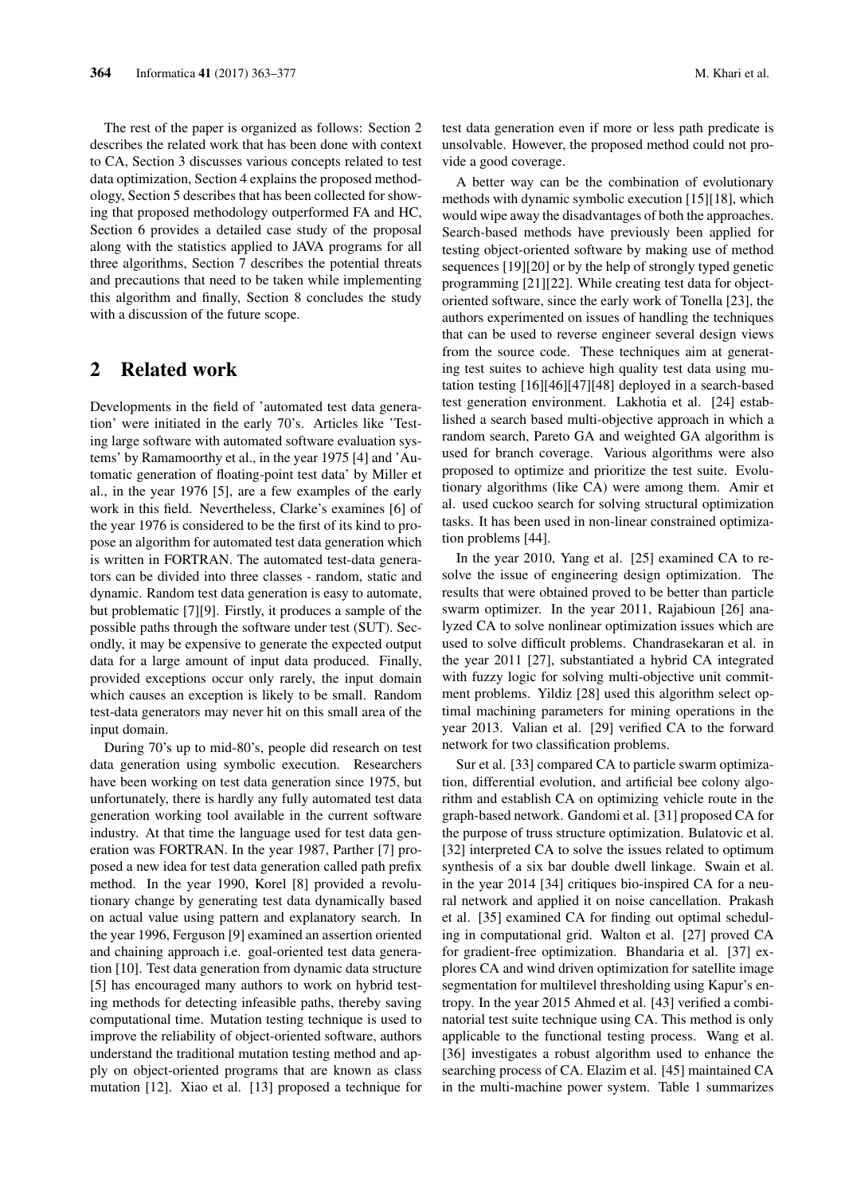The rest of the paper is organized as follows: Section 2 describes the related work that has been done with context to CA, Section 3 discusses various concepts related to test data optimization, Section 4 explains the proposed methodology, Section 5 describes that has been collected for showing that proposed methodology outperformed FA and HC, Section 6 provides a detailed case study of the proposal along with the statistics applied to JAVA programs for all three algorithms, Section 7 describes the potential threats and precautions that need to be taken while implementing this algorithm and finally, Section 8 concludes the study with a discussion of the future scope.

# 2 Related work

Developments in the field of 'automated test data generation' were initiated in the early 70's. Articles like 'Testing large software with automated software evaluation systems' by Ramamoorthy et al., in the year 1975 [4] and 'Automatic generation of floating-point test data' by Miller et al., in the year 1976 [5], are a few examples of the early work in this field. Nevertheless, Clarke's examines [6] of the year 1976 is considered to be the first of its kind to propose an algorithm for automated test data generation which is written in FORTRAN. The automated test-data generators can be divided into three classes - random, static and dynamic. Random test data generation is easy to automate, but problematic [7][9]. Firstly, it produces a sample of the possible paths through the software under test (SUT). Secondly, it may be expensive to generate the expected output data for a large amount of input data produced. Finally, provided exceptions occur only rarely, the input domain which causes an exception is likely to be small. Random test-data generators may never hit on this small area of the input domain.

During 70's up to mid-80's, people did research on test data generation using symbolic execution. Researchers have been working on test data generation since 1975, but unfortunately, there is hardly any fully automated test data generation working tool available in the current software industry. At that time the language used for test data generation was FORTRAN. In the year 1987, Parther [7] proposed a new idea for test data generation called path prefix method. In the year 1990, Korel [8] provided a revolutionary change by generating test data dynamically based on actual value using pattern and explanatory search. In the year 1996, Ferguson [9] examined an assertion oriented and chaining approach i.e. goal-oriented test data generation [10]. Test data generation from dynamic data structure [5] has encouraged many authors to work on hybrid testing methods for detecting infeasible paths, thereby saving computational time. Mutation testing technique is used to improve the reliability of object-oriented software, authors understand the traditional mutation testing method and apply on object-oriented programs that are known as class mutation [12]. Xiao et al. [13] proposed a technique for test data generation even if more or less path predicate is unsolvable. However, the proposed method could not provide a good coverage.

A better way can be the combination of evolutionary methods with dynamic symbolic execution [15][18], which would wipe away the disadvantages of both the approaches. Search-based methods have previously been applied for testing object-oriented software by making use of method sequences [19][20] or by the help of strongly typed genetic programming [21][22]. While creating test data for objectoriented software, since the early work of Tonella [23], the authors experimented on issues of handling the techniques that can be used to reverse engineer several design views from the source code. These techniques aim at generating test suites to achieve high quality test data using mutation testing [16][46][47][48] deployed in a search-based test generation environment. Lakhotia et al. [24] established a search based multi-objective approach in which a random search, Pareto GA and weighted GA algorithm is used for branch coverage. Various algorithms were also proposed to optimize and prioritize the test suite. Evolutionary algorithms (like CA) were among them. Amir et al. used cuckoo search for solving structural optimization tasks. It has been used in non-linear constrained optimization problems [44].

In the year 2010, Yang et al. [25] examined CA to resolve the issue of engineering design optimization. The results that were obtained proved to be better than particle swarm optimizer. In the year 2011, Rajabioun [26] analyzed CA to solve nonlinear optimization issues which are used to solve difficult problems. Chandrasekaran et al. in the year 2011 [27], substantiated a hybrid CA integrated with fuzzy logic for solving multi-objective unit commitment problems. Yildiz [28] used this algorithm select optimal machining parameters for mining operations in the year 2013. Valian et al. [29] verified CA to the forward network for two classification problems.

Sur et al. [33] compared CA to particle swarm optimization, differential evolution, and artificial bee colony algorithm and establish CA on optimizing vehicle route in the graph-based network. Gandomi et al. [31] proposed CA for the purpose of truss structure optimization. Bulatovic et al. [32] interpreted CA to solve the issues related to optimum synthesis of a six bar double dwell linkage. Swain et al. in the year 2014 [34] critiques bio-inspired CA for a neural network and applied it on noise cancellation. Prakash et al. [35] examined CA for finding out optimal scheduling in computational grid. Walton et al. [27] proved CA for gradient-free optimization. Bhandaria et al. [37] explores CA and wind driven optimization for satellite image segmentation for multilevel thresholding using Kapur's entropy. In the year 2015 Ahmed et al. [43] verified a combinatorial test suite technique using CA. This method is only applicable to the functional testing process. Wang et al. [36] investigates a robust algorithm used to enhance the searching process of CA. Elazim et al. [45] maintained CA in the multi-machine power system. Table 1 summarizes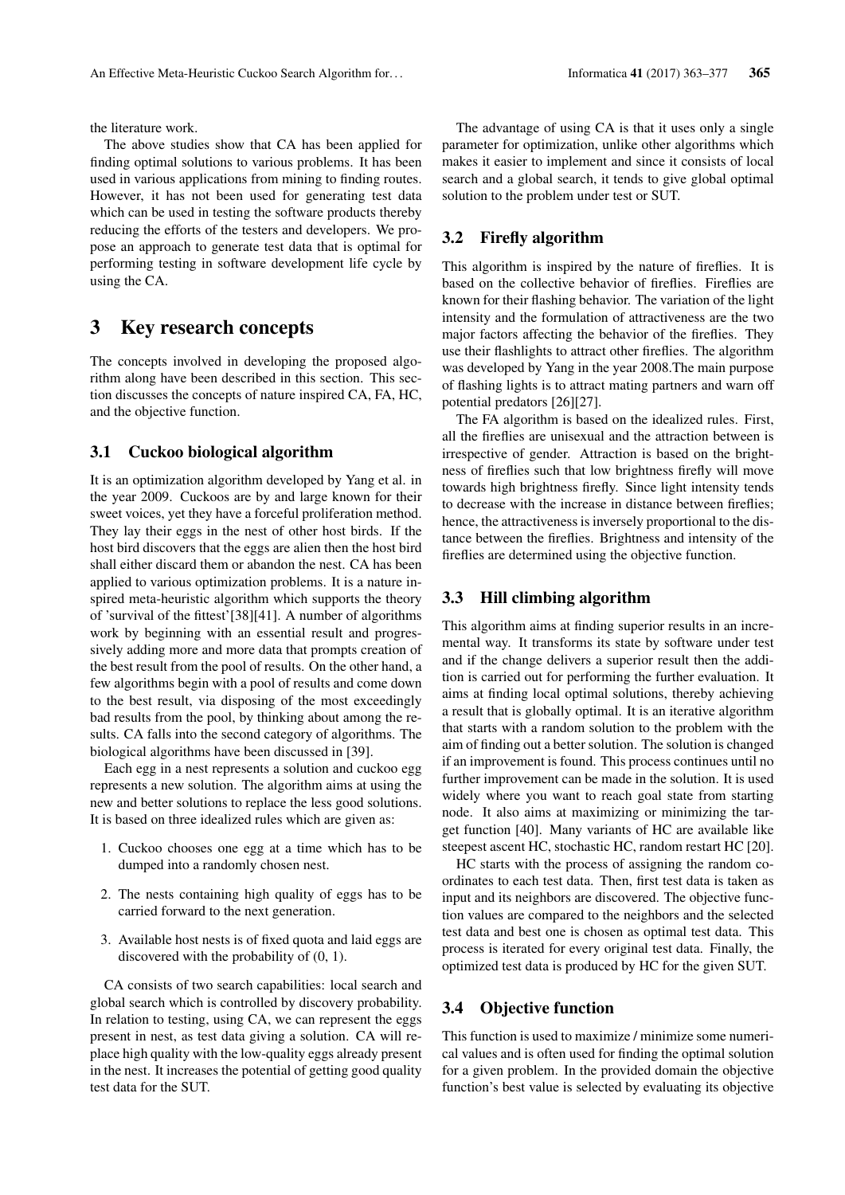the literature work.

The above studies show that CA has been applied for finding optimal solutions to various problems. It has been used in various applications from mining to finding routes. However, it has not been used for generating test data which can be used in testing the software products thereby reducing the efforts of the testers and developers. We propose an approach to generate test data that is optimal for performing testing in software development life cycle by using the CA.

# 3 Key research concepts

The concepts involved in developing the proposed algorithm along have been described in this section. This section discusses the concepts of nature inspired CA, FA, HC, and the objective function.

#### 3.1 Cuckoo biological algorithm

It is an optimization algorithm developed by Yang et al. in the year 2009. Cuckoos are by and large known for their sweet voices, yet they have a forceful proliferation method. They lay their eggs in the nest of other host birds. If the host bird discovers that the eggs are alien then the host bird shall either discard them or abandon the nest. CA has been applied to various optimization problems. It is a nature inspired meta-heuristic algorithm which supports the theory of 'survival of the fittest'[38][41]. A number of algorithms work by beginning with an essential result and progressively adding more and more data that prompts creation of the best result from the pool of results. On the other hand, a few algorithms begin with a pool of results and come down to the best result, via disposing of the most exceedingly bad results from the pool, by thinking about among the results. CA falls into the second category of algorithms. The biological algorithms have been discussed in [39].

Each egg in a nest represents a solution and cuckoo egg represents a new solution. The algorithm aims at using the new and better solutions to replace the less good solutions. It is based on three idealized rules which are given as:

- 1. Cuckoo chooses one egg at a time which has to be dumped into a randomly chosen nest.
- 2. The nests containing high quality of eggs has to be carried forward to the next generation.
- 3. Available host nests is of fixed quota and laid eggs are discovered with the probability of (0, 1).

CA consists of two search capabilities: local search and global search which is controlled by discovery probability. In relation to testing, using CA, we can represent the eggs present in nest, as test data giving a solution. CA will replace high quality with the low-quality eggs already present in the nest. It increases the potential of getting good quality test data for the SUT.

The advantage of using CA is that it uses only a single parameter for optimization, unlike other algorithms which makes it easier to implement and since it consists of local search and a global search, it tends to give global optimal solution to the problem under test or SUT.

### 3.2 Firefly algorithm

This algorithm is inspired by the nature of fireflies. It is based on the collective behavior of fireflies. Fireflies are known for their flashing behavior. The variation of the light intensity and the formulation of attractiveness are the two major factors affecting the behavior of the fireflies. They use their flashlights to attract other fireflies. The algorithm was developed by Yang in the year 2008.The main purpose of flashing lights is to attract mating partners and warn off potential predators [26][27].

The FA algorithm is based on the idealized rules. First, all the fireflies are unisexual and the attraction between is irrespective of gender. Attraction is based on the brightness of fireflies such that low brightness firefly will move towards high brightness firefly. Since light intensity tends to decrease with the increase in distance between fireflies; hence, the attractiveness is inversely proportional to the distance between the fireflies. Brightness and intensity of the fireflies are determined using the objective function.

### 3.3 Hill climbing algorithm

This algorithm aims at finding superior results in an incremental way. It transforms its state by software under test and if the change delivers a superior result then the addition is carried out for performing the further evaluation. It aims at finding local optimal solutions, thereby achieving a result that is globally optimal. It is an iterative algorithm that starts with a random solution to the problem with the aim of finding out a better solution. The solution is changed if an improvement is found. This process continues until no further improvement can be made in the solution. It is used widely where you want to reach goal state from starting node. It also aims at maximizing or minimizing the target function [40]. Many variants of HC are available like steepest ascent HC, stochastic HC, random restart HC [20].

HC starts with the process of assigning the random coordinates to each test data. Then, first test data is taken as input and its neighbors are discovered. The objective function values are compared to the neighbors and the selected test data and best one is chosen as optimal test data. This process is iterated for every original test data. Finally, the optimized test data is produced by HC for the given SUT.

### 3.4 Objective function

This function is used to maximize / minimize some numerical values and is often used for finding the optimal solution for a given problem. In the provided domain the objective function's best value is selected by evaluating its objective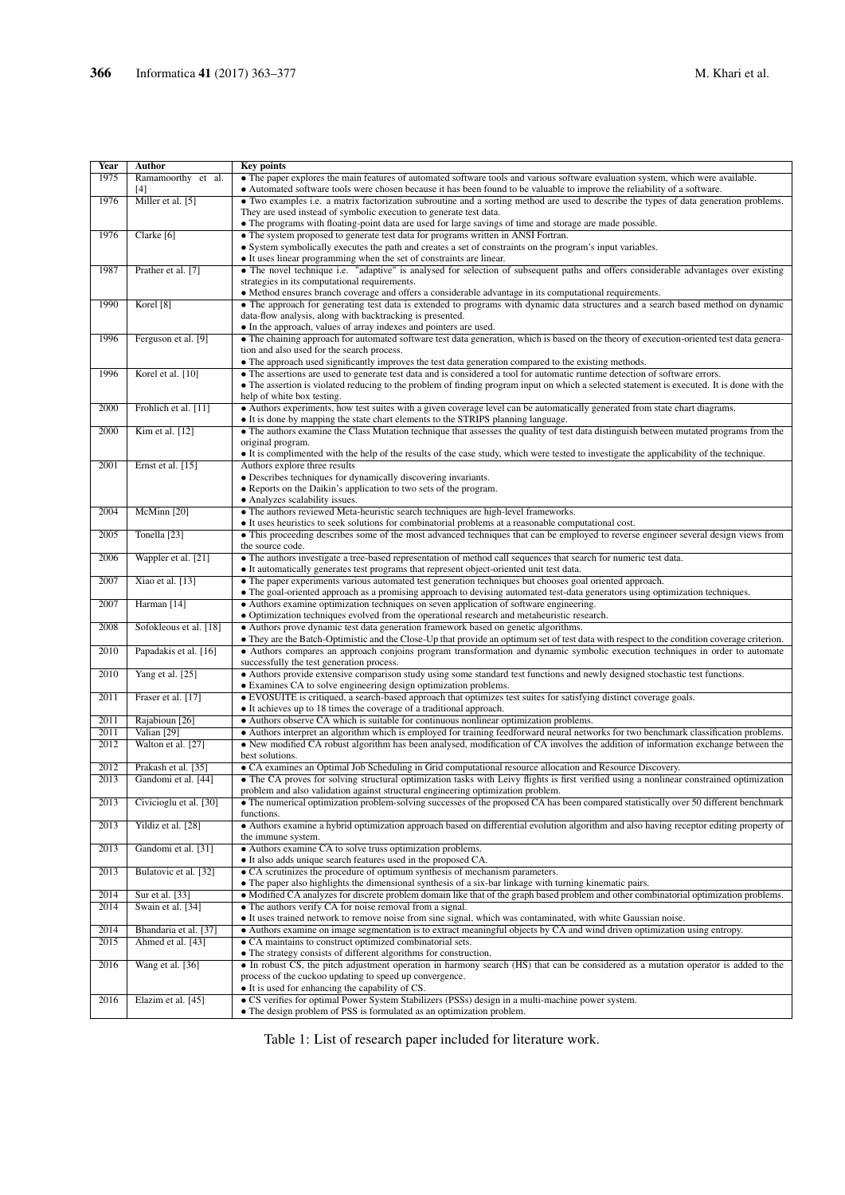| Year         | Author                                     | <b>Key points</b>                                                                                                                                                                                                                          |
|--------------|--------------------------------------------|--------------------------------------------------------------------------------------------------------------------------------------------------------------------------------------------------------------------------------------------|
| 1975         | Ramamoorthy et al.                         | • The paper explores the main features of automated software tools and various software evaluation system, which were available.                                                                                                           |
|              | [4]                                        | • Automated software tools were chosen because it has been found to be valuable to improve the reliability of a software.                                                                                                                  |
| 1976         | Miller et al. [5]                          | • Two examples i.e. a matrix factorization subroutine and a sorting method are used to describe the types of data generation problems.                                                                                                     |
|              |                                            | They are used instead of symbolic execution to generate test data.<br>• The programs with floating-point data are used for large savings of time and storage are made possible.                                                            |
| 1976         | Clarke [6]                                 | • The system proposed to generate test data for programs written in ANSI Fortran.                                                                                                                                                          |
|              |                                            | • System symbolically executes the path and creates a set of constraints on the program's input variables.                                                                                                                                 |
|              |                                            | • It uses linear programming when the set of constraints are linear.                                                                                                                                                                       |
| 1987         | Prather et al. [7]                         | • The novel technique i.e. "adaptive" is analysed for selection of subsequent paths and offers considerable advantages over existing                                                                                                       |
|              |                                            | strategies in its computational requirements.                                                                                                                                                                                              |
|              |                                            | • Method ensures branch coverage and offers a considerable advantage in its computational requirements.                                                                                                                                    |
| 1990         | Korel [8]                                  | • The approach for generating test data is extended to programs with dynamic data structures and a search based method on dynamic<br>data-flow analysis, along with backtracking is presented.                                             |
|              |                                            | • In the approach, values of array indexes and pointers are used.                                                                                                                                                                          |
| 1996         | Ferguson et al. [9]                        | • The chaining approach for automated software test data generation, which is based on the theory of execution-oriented test data genera-                                                                                                  |
|              |                                            | tion and also used for the search process.                                                                                                                                                                                                 |
|              |                                            | • The approach used significantly improves the test data generation compared to the existing methods.                                                                                                                                      |
| 1996         | Korel et al. [10]                          | • The assertions are used to generate test data and is considered a tool for automatic runtime detection of software errors.                                                                                                               |
|              |                                            | • The assertion is violated reducing to the problem of finding program input on which a selected statement is executed. It is done with the                                                                                                |
| 2000         | Frohlich et al. [11]                       | help of white box testing.<br>• Authors experiments, how test suites with a given coverage level can be automatically generated from state chart diagrams.                                                                                 |
|              |                                            | • It is done by mapping the state chart elements to the STRIPS planning language.                                                                                                                                                          |
| 2000         | Kim et al. [12]                            | • The authors examine the Class Mutation technique that assesses the quality of test data distinguish between mutated programs from the                                                                                                    |
|              |                                            | original program.                                                                                                                                                                                                                          |
|              |                                            | • It is complimented with the help of the results of the case study, which were tested to investigate the applicability of the technique.                                                                                                  |
| 2001         | Ernst et al. $[15]$                        | Authors explore three results                                                                                                                                                                                                              |
|              |                                            | • Describes techniques for dynamically discovering invariants.                                                                                                                                                                             |
|              |                                            | • Reports on the Daikin's application to two sets of the program.<br>• Analyzes scalability issues.                                                                                                                                        |
| 2004         | McMinn [20]                                | • The authors reviewed Meta-heuristic search techniques are high-level frameworks.                                                                                                                                                         |
|              |                                            | • It uses heuristics to seek solutions for combinatorial problems at a reasonable computational cost.                                                                                                                                      |
| 2005         | Tonella [23]                               | • This proceeding describes some of the most advanced techniques that can be employed to reverse engineer several design views from                                                                                                        |
|              |                                            | the source code.                                                                                                                                                                                                                           |
| 2006         | Wappler et al. [21]                        | • The authors investigate a tree-based representation of method call sequences that search for numeric test data.                                                                                                                          |
|              |                                            | • It automatically generates test programs that represent object-oriented unit test data.                                                                                                                                                  |
| 2007         | Xiao et al. [13]                           | • The paper experiments various automated test generation techniques but chooses goal oriented approach.<br>• The goal-oriented approach as a promising approach to devising automated test-data generators using optimization techniques. |
| 2007         | Harman <sup>[14]</sup>                     | • Authors examine optimization techniques on seven application of software engineering.                                                                                                                                                    |
|              |                                            | • Optimization techniques evolved from the operational research and metaheuristic research.                                                                                                                                                |
| 2008         | Sofokleous et al. [18]                     | • Authors prove dynamic test data generation framework based on genetic algorithms.                                                                                                                                                        |
|              |                                            | • They are the Batch-Optimistic and the Close-Up that provide an optimum set of test data with respect to the condition coverage criterion.                                                                                                |
| 2010         | Papadakis et al. [16]                      | • Authors compares an approach conjoins program transformation and dynamic symbolic execution techniques in order to automate                                                                                                              |
| 2010         | Yang et al. [25]                           | successfully the test generation process.<br>• Authors provide extensive comparison study using some standard test functions and newly designed stochastic test functions.                                                                 |
|              |                                            | • Examines CA to solve engineering design optimization problems.                                                                                                                                                                           |
| 2011         | Fraser et al. [17]                         | • EVOSUITE is critiqued, a search-based approach that optimizes test suites for satisfying distinct coverage goals.                                                                                                                        |
|              |                                            | • It achieves up to 18 times the coverage of a traditional approach.                                                                                                                                                                       |
| 2011         | Rajabioun [26]                             | • Authors observe CA which is suitable for continuous nonlinear optimization problems.                                                                                                                                                     |
| 2011         | Valian [29]                                | • Authors interpret an algorithm which is employed for training feedforward neural networks for two benchmark classification problems.                                                                                                     |
| 2012         | Walton et al. [27]                         | • New modified CA robust algorithm has been analysed, modification of CA involves the addition of information exchange between the<br>best solutions.                                                                                      |
| 2012         | Prakash et al. [35]                        | • CA examines an Optimal Job Scheduling in Grid computational resource allocation and Resource Discovery.                                                                                                                                  |
| 2013         | Gandomi et al. [44]                        | • The CA proves for solving structural optimization tasks with Leivy flights is first verified using a nonlinear constrained optimization                                                                                                  |
|              |                                            | problem and also validation against structural engineering optimization problem.                                                                                                                                                           |
| 2013         | Civicioglu et al. [30]                     | • The numerical optimization problem-solving successes of the proposed CA has been compared statistically over 50 different benchmark                                                                                                      |
|              |                                            | functions.                                                                                                                                                                                                                                 |
| 2013         | Yildiz et al. [28]                         | • Authors examine a hybrid optimization approach based on differential evolution algorithm and also having receptor editing property of                                                                                                    |
| 2013         | Gandomi et al. [31]                        | the immune system.<br>• Authors examine CA to solve truss optimization problems.                                                                                                                                                           |
|              |                                            | • It also adds unique search features used in the proposed CA.                                                                                                                                                                             |
| 2013         | Bulatovic et al. [32]                      | • CA scrutinizes the procedure of optimum synthesis of mechanism parameters.                                                                                                                                                               |
|              |                                            | • The paper also highlights the dimensional synthesis of a six-bar linkage with turning kinematic pairs.                                                                                                                                   |
| 2014         | Sur et al. [33]                            | • Modified CA analyzes for discrete problem domain like that of the graph based problem and other combinatorial optimization problems.                                                                                                     |
| 2014         | Swain et al. [34]                          | • The authors verify CA for noise removal from a signal.                                                                                                                                                                                   |
|              |                                            | • It uses trained network to remove noise from sine signal, which was contaminated, with white Gaussian noise.                                                                                                                             |
| 2014<br>2015 | Bhandaria et al. [37]<br>Ahmed et al. [43] | • Authors examine on image segmentation is to extract meaningful objects by CA and wind driven optimization using entropy.<br>• CA maintains to construct optimized combinatorial sets.                                                    |
|              |                                            | • The strategy consists of different algorithms for construction.                                                                                                                                                                          |
| 2016         | Wang et al. [36]                           | • In robust CS, the pitch adjustment operation in harmony search (HS) that can be considered as a mutation operator is added to the                                                                                                        |
|              |                                            | process of the cuckoo updating to speed up convergence.                                                                                                                                                                                    |
|              |                                            | • It is used for enhancing the capability of CS.                                                                                                                                                                                           |
| 2016         | Elazim et al. [45]                         | • CS verifies for optimal Power System Stabilizers (PSSs) design in a multi-machine power system.                                                                                                                                          |
|              |                                            | • The design problem of PSS is formulated as an optimization problem.                                                                                                                                                                      |

Table 1: List of research paper included for literature work.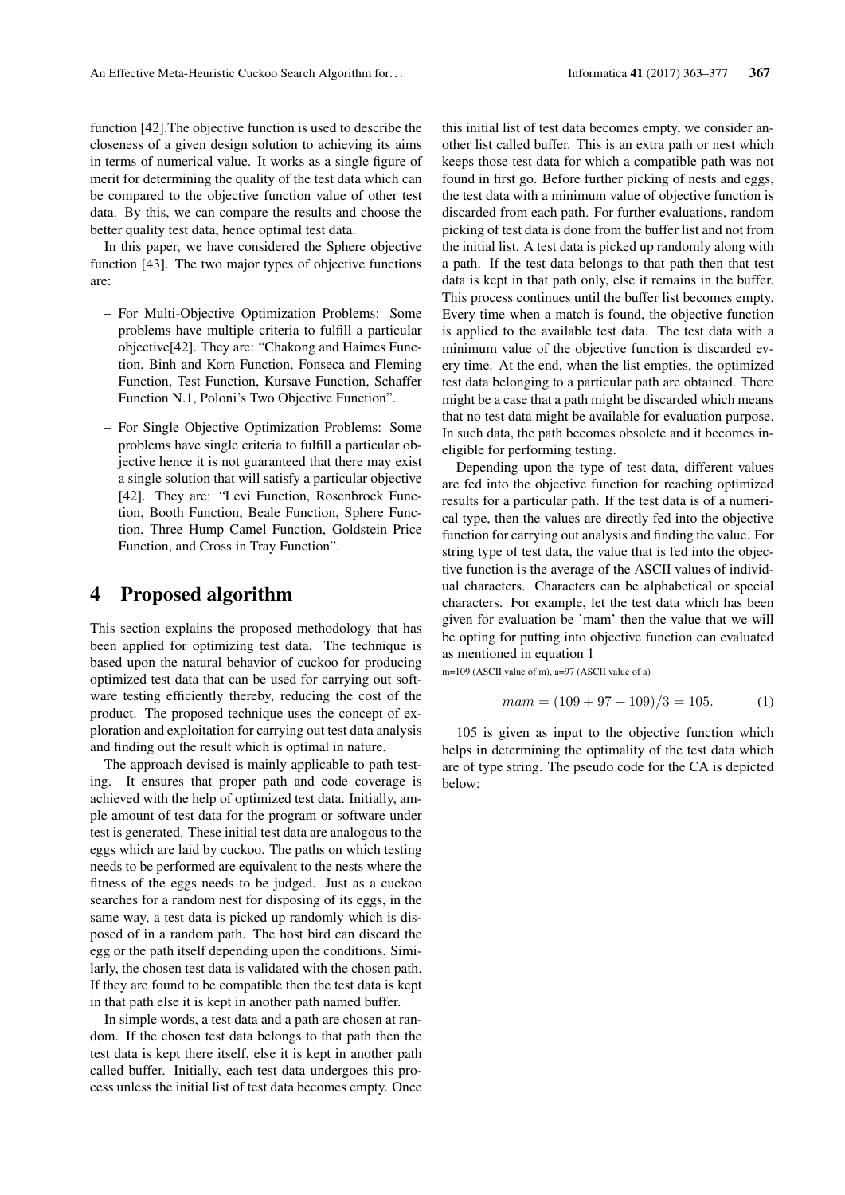function [42].The objective function is used to describe the closeness of a given design solution to achieving its aims in terms of numerical value. It works as a single figure of merit for determining the quality of the test data which can be compared to the objective function value of other test data. By this, we can compare the results and choose the better quality test data, hence optimal test data.

In this paper, we have considered the Sphere objective function [43]. The two major types of objective functions are:

- For Multi-Objective Optimization Problems: Some problems have multiple criteria to fulfill a particular objective[42]. They are: "Chakong and Haimes Function, Binh and Korn Function, Fonseca and Fleming Function, Test Function, Kursave Function, Schaffer Function N.1, Poloni's Two Objective Function".
- For Single Objective Optimization Problems: Some problems have single criteria to fulfill a particular objective hence it is not guaranteed that there may exist a single solution that will satisfy a particular objective [42]. They are: "Levi Function, Rosenbrock Function, Booth Function, Beale Function, Sphere Function, Three Hump Camel Function, Goldstein Price Function, and Cross in Tray Function".

## 4 Proposed algorithm

This section explains the proposed methodology that has been applied for optimizing test data. The technique is based upon the natural behavior of cuckoo for producing optimized test data that can be used for carrying out software testing efficiently thereby, reducing the cost of the product. The proposed technique uses the concept of exploration and exploitation for carrying out test data analysis and finding out the result which is optimal in nature.

The approach devised is mainly applicable to path testing. It ensures that proper path and code coverage is achieved with the help of optimized test data. Initially, ample amount of test data for the program or software under test is generated. These initial test data are analogous to the eggs which are laid by cuckoo. The paths on which testing needs to be performed are equivalent to the nests where the fitness of the eggs needs to be judged. Just as a cuckoo searches for a random nest for disposing of its eggs, in the same way, a test data is picked up randomly which is disposed of in a random path. The host bird can discard the egg or the path itself depending upon the conditions. Similarly, the chosen test data is validated with the chosen path. If they are found to be compatible then the test data is kept in that path else it is kept in another path named buffer.

In simple words, a test data and a path are chosen at random. If the chosen test data belongs to that path then the test data is kept there itself, else it is kept in another path called buffer. Initially, each test data undergoes this process unless the initial list of test data becomes empty. Once this initial list of test data becomes empty, we consider another list called buffer. This is an extra path or nest which keeps those test data for which a compatible path was not found in first go. Before further picking of nests and eggs, the test data with a minimum value of objective function is discarded from each path. For further evaluations, random picking of test data is done from the buffer list and not from the initial list. A test data is picked up randomly along with a path. If the test data belongs to that path then that test data is kept in that path only, else it remains in the buffer. This process continues until the buffer list becomes empty. Every time when a match is found, the objective function is applied to the available test data. The test data with a minimum value of the objective function is discarded every time. At the end, when the list empties, the optimized test data belonging to a particular path are obtained. There might be a case that a path might be discarded which means that no test data might be available for evaluation purpose. In such data, the path becomes obsolete and it becomes ineligible for performing testing.

Depending upon the type of test data, different values are fed into the objective function for reaching optimized results for a particular path. If the test data is of a numerical type, then the values are directly fed into the objective function for carrying out analysis and finding the value. For string type of test data, the value that is fed into the objective function is the average of the ASCII values of individual characters. Characters can be alphabetical or special characters. For example, let the test data which has been given for evaluation be 'mam' then the value that we will be opting for putting into objective function can evaluated as mentioned in equation 1

m=109 (ASCII value of m), a=97 (ASCII value of a)

$$
mam = (109 + 97 + 109)/3 = 105.
$$
 (1)

105 is given as input to the objective function which helps in determining the optimality of the test data which are of type string. The pseudo code for the CA is depicted below: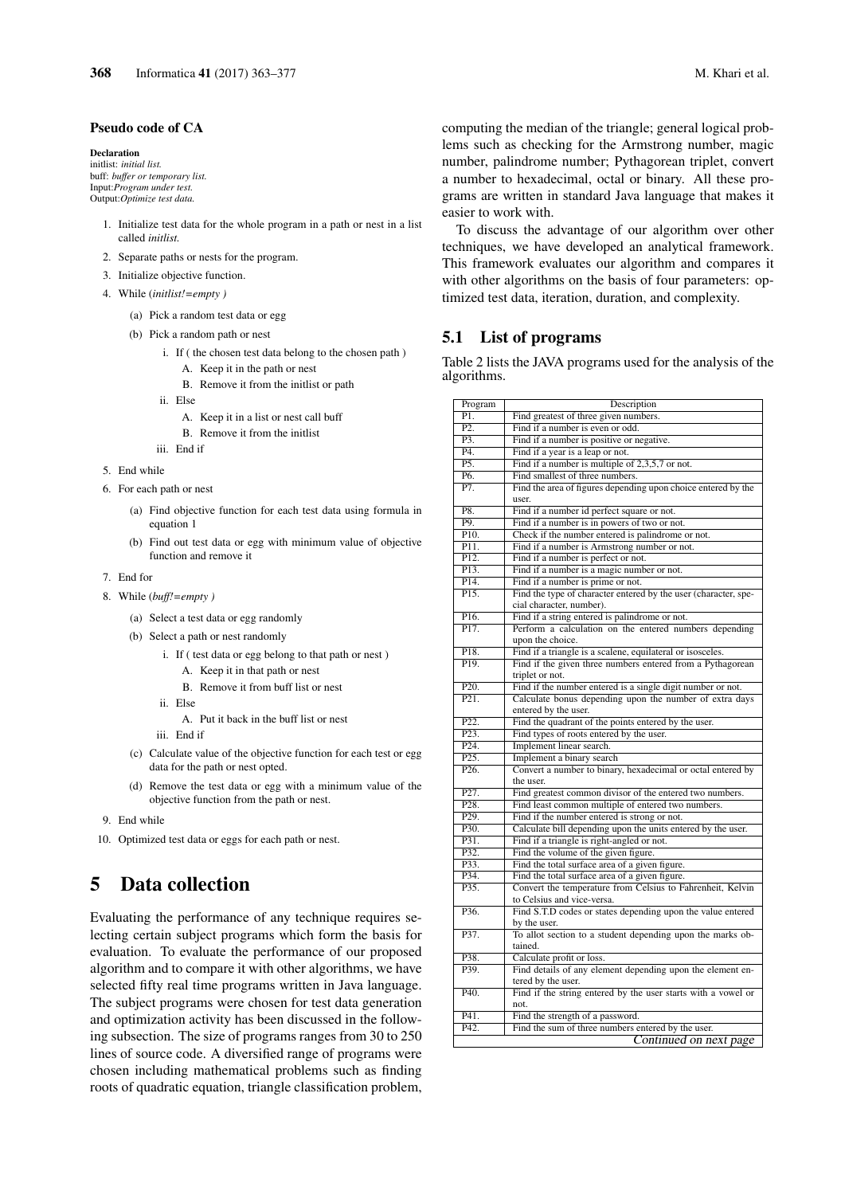#### Pseudo code of CA

**Declaration** initlist: *initial list.* buff: *buffer or temporary list.* Input:*Program under test.* Output:*Optimize test data.*

- 1. Initialize test data for the whole program in a path or nest in a list called *initlist.*
- 2. Separate paths or nests for the program.
- 3. Initialize objective function.
- 4. While (*initlist!=empty )*
	- (a) Pick a random test data or egg
	- (b) Pick a random path or nest
		- i. If ( the chosen test data belong to the chosen path ) A. Keep it in the path or nest
			- B. Remove it from the initlist or path
		- ii. Else
			- A. Keep it in a list or nest call buff
			- B. Remove it from the initlist
		- iii. End if
- 5. End while
- 6. For each path or nest
	- (a) Find objective function for each test data using formula in equation 1
	- (b) Find out test data or egg with minimum value of objective function and remove it
- 7. End for
- 8. While (*buff!=empty )*
	- (a) Select a test data or egg randomly
	- (b) Select a path or nest randomly
		- i. If ( test data or egg belong to that path or nest )
			- A. Keep it in that path or nest
			- B. Remove it from buff list or nest
		- ii. Else
			- A. Put it back in the buff list or nest
		- iii. End if
	- (c) Calculate value of the objective function for each test or egg data for the path or nest opted.
	- (d) Remove the test data or egg with a minimum value of the objective function from the path or nest.
- 9. End while
- 10. Optimized test data or eggs for each path or nest.

# 5 Data collection

Evaluating the performance of any technique requires selecting certain subject programs which form the basis for evaluation. To evaluate the performance of our proposed algorithm and to compare it with other algorithms, we have selected fifty real time programs written in Java language. The subject programs were chosen for test data generation and optimization activity has been discussed in the following subsection. The size of programs ranges from 30 to 250 lines of source code. A diversified range of programs were chosen including mathematical problems such as finding roots of quadratic equation, triangle classification problem, computing the median of the triangle; general logical problems such as checking for the Armstrong number, magic number, palindrome number; Pythagorean triplet, convert a number to hexadecimal, octal or binary. All these programs are written in standard Java language that makes it easier to work with.

To discuss the advantage of our algorithm over other techniques, we have developed an analytical framework. This framework evaluates our algorithm and compares it with other algorithms on the basis of four parameters: optimized test data, iteration, duration, and complexity.

#### 5.1 List of programs

Table 2 lists the JAVA programs used for the analysis of the algorithms.

| Program            | Description                                                     |
|--------------------|-----------------------------------------------------------------|
| P1.                | Find greatest of three given numbers.                           |
| P <sub>2</sub> .   | Find if a number is even or odd.                                |
| P3.                | Find if a number is positive or negative.                       |
| P4.                | Find if a year is a leap or not.                                |
| P5.                | Find if a number is multiple of 2,3,5,7 or not.                 |
| P6.                | Find smallest of three numbers.                                 |
| P7.                | Find the area of figures depending upon choice entered by the   |
|                    | user.                                                           |
| P8.                | Find if a number id perfect square or not.                      |
| P9.                | Find if a number is in powers of two or not.                    |
| P10.               | Check if the number entered is palindrome or not.               |
| P11.               | Find if a number is Armstrong number or not.                    |
| P12.               | Find if a number is perfect or not.                             |
| P13.               | Find if a number is a magic number or not.                      |
| P <sub>14</sub> .  | Find if a number is prime or not.                               |
| P15.               | Find the type of character entered by the user (character, spe- |
|                    | cial character, number).                                        |
| P <sub>16</sub> .  | Find if a string entered is palindrome or not.                  |
| P <sub>17</sub> .  | Perform a calculation on the entered numbers depending          |
|                    | upon the choice.                                                |
| P18.               | Find if a triangle is a scalene, equilateral or isosceles.      |
| P <sub>19</sub> .  | Find if the given three numbers entered from a Pythagorean      |
|                    | triplet or not.                                                 |
| P <sub>20</sub> .  | Find if the number entered is a single digit number or not.     |
| P21.               | Calculate bonus depending upon the number of extra days         |
|                    | entered by the user.                                            |
| P22.               | Find the quadrant of the points entered by the user.            |
| P <sub>23</sub> .  | Find types of roots entered by the user.                        |
| $\overline{P24}$ . | Implement linear search.                                        |
| P <sub>25</sub> .  | Implement a binary search                                       |
| P <sub>26</sub> .  | Convert a number to binary, hexadecimal or octal entered by     |
|                    | the user.                                                       |
| P <sub>27</sub> .  | Find greatest common divisor of the entered two numbers.        |
| P28.               | Find least common multiple of entered two numbers.              |
| P <sub>29</sub> .  | Find if the number entered is strong or not.                    |
| P30.               | Calculate bill depending upon the units entered by the user.    |
| P31.               | Find if a triangle is right-angled or not.                      |
| P32.               | Find the volume of the given figure.                            |
| P33.               | Find the total surface area of a given figure.                  |
| P34.               | Find the total surface area of a given figure.                  |
| P <sub>35</sub> .  | Convert the temperature from Celsius to Fahrenheit, Kelvin      |
|                    | to Celsius and vice-versa.                                      |
| P36.               | Find S.T.D codes or states depending upon the value entered     |
|                    | by the user.                                                    |
| P37.               | To allot section to a student depending upon the marks ob-      |
|                    | tained.                                                         |
| P38.               | Calculate profit or loss.                                       |
| P39.               | Find details of any element depending upon the element en-      |
|                    | tered by the user.                                              |
| P40.               | Find if the string entered by the user starts with a vowel or   |
|                    | not.                                                            |
| P41.               | Find the strength of a password.                                |
| P42.               | Find the sum of three numbers entered by the user.              |
|                    | Continued on next page                                          |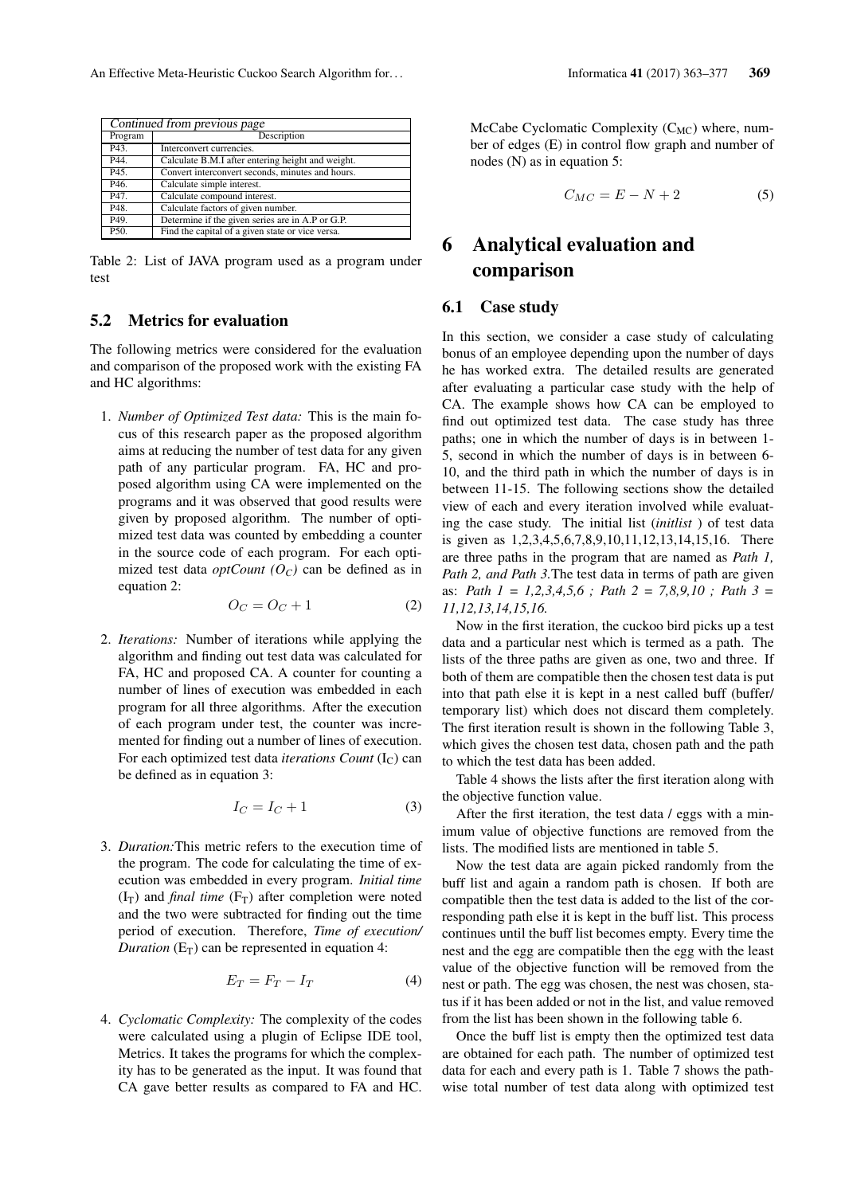| Continued from previous page |                                                   |  |  |  |  |  |  |
|------------------------------|---------------------------------------------------|--|--|--|--|--|--|
| Program                      | Description                                       |  |  |  |  |  |  |
| P <sub>43</sub> .            | Interconvert currencies.                          |  |  |  |  |  |  |
| P44.                         | Calculate B.M.I after entering height and weight. |  |  |  |  |  |  |
| P45.                         | Convert interconvert seconds, minutes and hours.  |  |  |  |  |  |  |
| P46.                         | Calculate simple interest.                        |  |  |  |  |  |  |
| P47.                         | Calculate compound interest.                      |  |  |  |  |  |  |
| P48.                         | Calculate factors of given number.                |  |  |  |  |  |  |
| P <sub>49</sub> .            | Determine if the given series are in A.P or G.P.  |  |  |  |  |  |  |
| P50.                         | Find the capital of a given state or vice versa.  |  |  |  |  |  |  |

Table 2: List of JAVA program used as a program under test

## 5.2 Metrics for evaluation

The following metrics were considered for the evaluation and comparison of the proposed work with the existing FA and HC algorithms:

1. *Number of Optimized Test data:* This is the main focus of this research paper as the proposed algorithm aims at reducing the number of test data for any given path of any particular program. FA, HC and proposed algorithm using CA were implemented on the programs and it was observed that good results were given by proposed algorithm. The number of optimized test data was counted by embedding a counter in the source code of each program. For each optimized test data *optCount*  $(O_C)$  can be defined as in equation 2:

$$
O_C = O_C + 1\tag{2}
$$

2. *Iterations:* Number of iterations while applying the algorithm and finding out test data was calculated for FA, HC and proposed CA. A counter for counting a number of lines of execution was embedded in each program for all three algorithms. After the execution of each program under test, the counter was incremented for finding out a number of lines of execution. For each optimized test data *iterations Count* (I<sub>C</sub>) can be defined as in equation 3:

$$
I_C = I_C + 1\tag{3}
$$

3. *Duration:*This metric refers to the execution time of the program. The code for calculating the time of execution was embedded in every program. *Initial time*  $(I_T)$  and *final time*  $(F_T)$  after completion were noted and the two were subtracted for finding out the time period of execution. Therefore, *Time of execution/ Duration*  $(E_T)$  can be represented in equation 4:

$$
E_T = F_T - I_T \tag{4}
$$

4. *Cyclomatic Complexity:* The complexity of the codes were calculated using a plugin of Eclipse IDE tool, Metrics. It takes the programs for which the complexity has to be generated as the input. It was found that CA gave better results as compared to FA and HC. McCabe Cyclomatic Complexity  $(C_{MC})$  where, number of edges (E) in control flow graph and number of nodes (N) as in equation 5:

$$
C_{MC} = E - N + 2 \tag{5}
$$

# 6 Analytical evaluation and comparison

#### 6.1 Case study

In this section, we consider a case study of calculating bonus of an employee depending upon the number of days he has worked extra. The detailed results are generated after evaluating a particular case study with the help of CA. The example shows how CA can be employed to find out optimized test data. The case study has three paths; one in which the number of days is in between 1- 5, second in which the number of days is in between 6- 10, and the third path in which the number of days is in between 11-15. The following sections show the detailed view of each and every iteration involved while evaluating the case study. The initial list (*initlist* ) of test data is given as 1,2,3,4,5,6,7,8,9,10,11,12,13,14,15,16. There are three paths in the program that are named as *Path 1, Path 2, and Path 3.*The test data in terms of path are given as: *Path 1 = 1,2,3,4,5,6 ; Path 2 = 7,8,9,10 ; Path 3 = 11,12,13,14,15,16.*

Now in the first iteration, the cuckoo bird picks up a test data and a particular nest which is termed as a path. The lists of the three paths are given as one, two and three. If both of them are compatible then the chosen test data is put into that path else it is kept in a nest called buff (buffer/ temporary list) which does not discard them completely. The first iteration result is shown in the following Table 3, which gives the chosen test data, chosen path and the path to which the test data has been added.

Table 4 shows the lists after the first iteration along with the objective function value.

After the first iteration, the test data / eggs with a minimum value of objective functions are removed from the lists. The modified lists are mentioned in table 5.

Now the test data are again picked randomly from the buff list and again a random path is chosen. If both are compatible then the test data is added to the list of the corresponding path else it is kept in the buff list. This process continues until the buff list becomes empty. Every time the nest and the egg are compatible then the egg with the least value of the objective function will be removed from the nest or path. The egg was chosen, the nest was chosen, status if it has been added or not in the list, and value removed from the list has been shown in the following table 6.

Once the buff list is empty then the optimized test data are obtained for each path. The number of optimized test data for each and every path is 1. Table 7 shows the pathwise total number of test data along with optimized test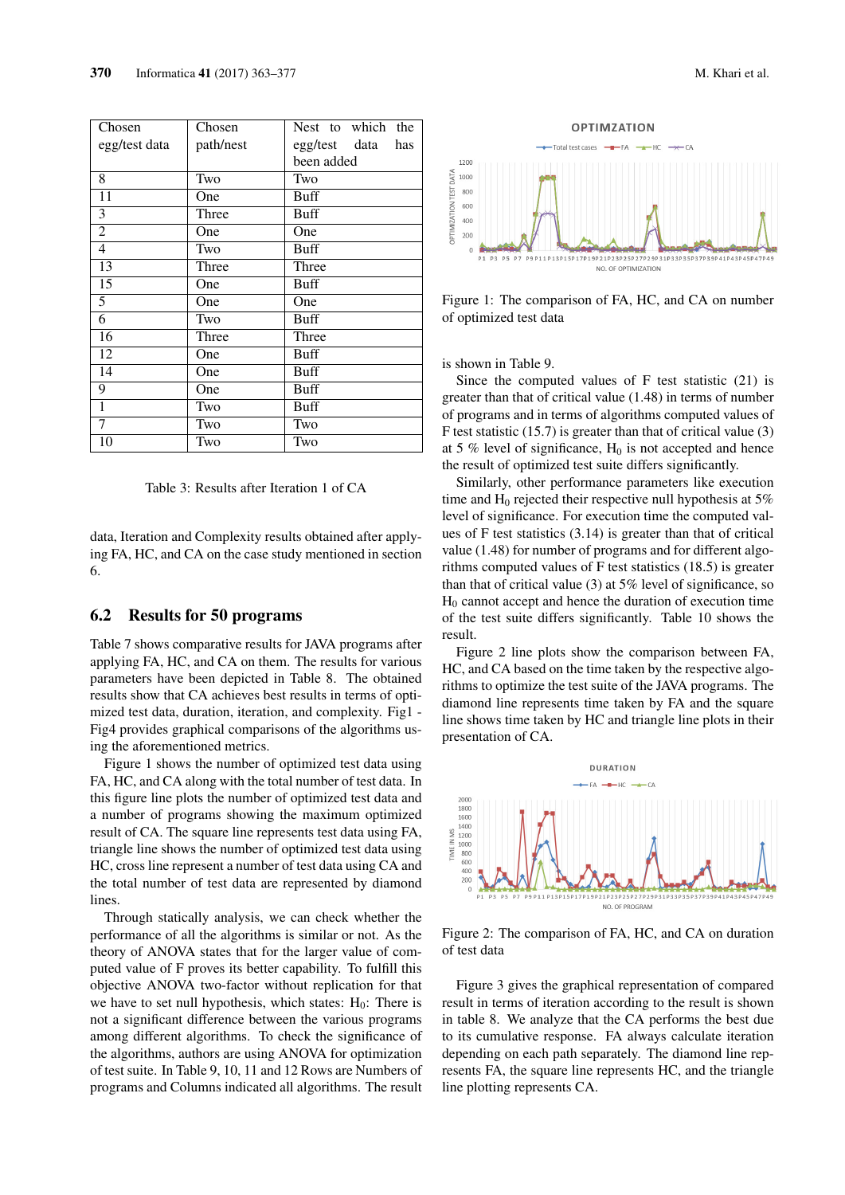| Chosen         | Chosen    | Nest to which the    |
|----------------|-----------|----------------------|
| egg/test data  | path/nest | egg/test data<br>has |
|                |           | been added           |
| 8              | Two       | Two                  |
| 11             | One       | Buff                 |
| 3              | Three     | <b>Buff</b>          |
| $\overline{2}$ | One       | One                  |
| $\overline{4}$ | Two       | Buff                 |
| 13             | Three     | Three                |
| 15             | One       | Buff                 |
| 5              | One       | One                  |
| 6              | Two       | Buff                 |
| 16             | Three     | Three                |
| 12             | One       | Buff                 |
| 14             | One       | Buff                 |
| 9              | One       | Buff                 |
| $\overline{1}$ | Two       | Buff                 |
| 7              | Two       | Two                  |
| 10             | Two       | Two                  |

Table 3: Results after Iteration 1 of CA

data, Iteration and Complexity results obtained after applying FA, HC, and CA on the case study mentioned in section 6.

#### 6.2 Results for 50 programs

Table 7 shows comparative results for JAVA programs after applying FA, HC, and CA on them. The results for various parameters have been depicted in Table 8. The obtained results show that CA achieves best results in terms of optimized test data, duration, iteration, and complexity. Fig1 - Fig4 provides graphical comparisons of the algorithms using the aforementioned metrics.

Figure 1 shows the number of optimized test data using FA, HC, and CA along with the total number of test data. In this figure line plots the number of optimized test data and a number of programs showing the maximum optimized result of CA. The square line represents test data using FA, triangle line shows the number of optimized test data using HC, cross line represent a number of test data using CA and the total number of test data are represented by diamond lines.

Through statically analysis, we can check whether the performance of all the algorithms is similar or not. As the theory of ANOVA states that for the larger value of computed value of F proves its better capability. To fulfill this objective ANOVA two-factor without replication for that we have to set null hypothesis, which states:  $H_0$ : There is not a significant difference between the various programs among different algorithms. To check the significance of the algorithms, authors are using ANOVA for optimization of test suite. In Table 9, 10, 11 and 12 Rows are Numbers of programs and Columns indicated all algorithms. The result



Figure 1: The comparison of FA, HC, and CA on number of optimized test data

is shown in Table 9.

Since the computed values of F test statistic (21) is greater than that of critical value (1.48) in terms of number of programs and in terms of algorithms computed values of F test statistic (15.7) is greater than that of critical value (3) at 5 % level of significance,  $H_0$  is not accepted and hence the result of optimized test suite differs significantly.

Similarly, other performance parameters like execution time and  $H_0$  rejected their respective null hypothesis at 5% level of significance. For execution time the computed values of F test statistics (3.14) is greater than that of critical value (1.48) for number of programs and for different algorithms computed values of F test statistics (18.5) is greater than that of critical value (3) at 5% level of significance, so  $H<sub>0</sub>$  cannot accept and hence the duration of execution time of the test suite differs significantly. Table 10 shows the result.

Figure 2 line plots show the comparison between FA, HC, and CA based on the time taken by the respective algorithms to optimize the test suite of the JAVA programs. The diamond line represents time taken by FA and the square line shows time taken by HC and triangle line plots in their presentation of CA.



Figure 2: The comparison of FA, HC, and CA on duration of test data

Figure 3 gives the graphical representation of compared result in terms of iteration according to the result is shown in table 8. We analyze that the CA performs the best due to its cumulative response. FA always calculate iteration depending on each path separately. The diamond line represents FA, the square line represents HC, and the triangle line plotting represents CA.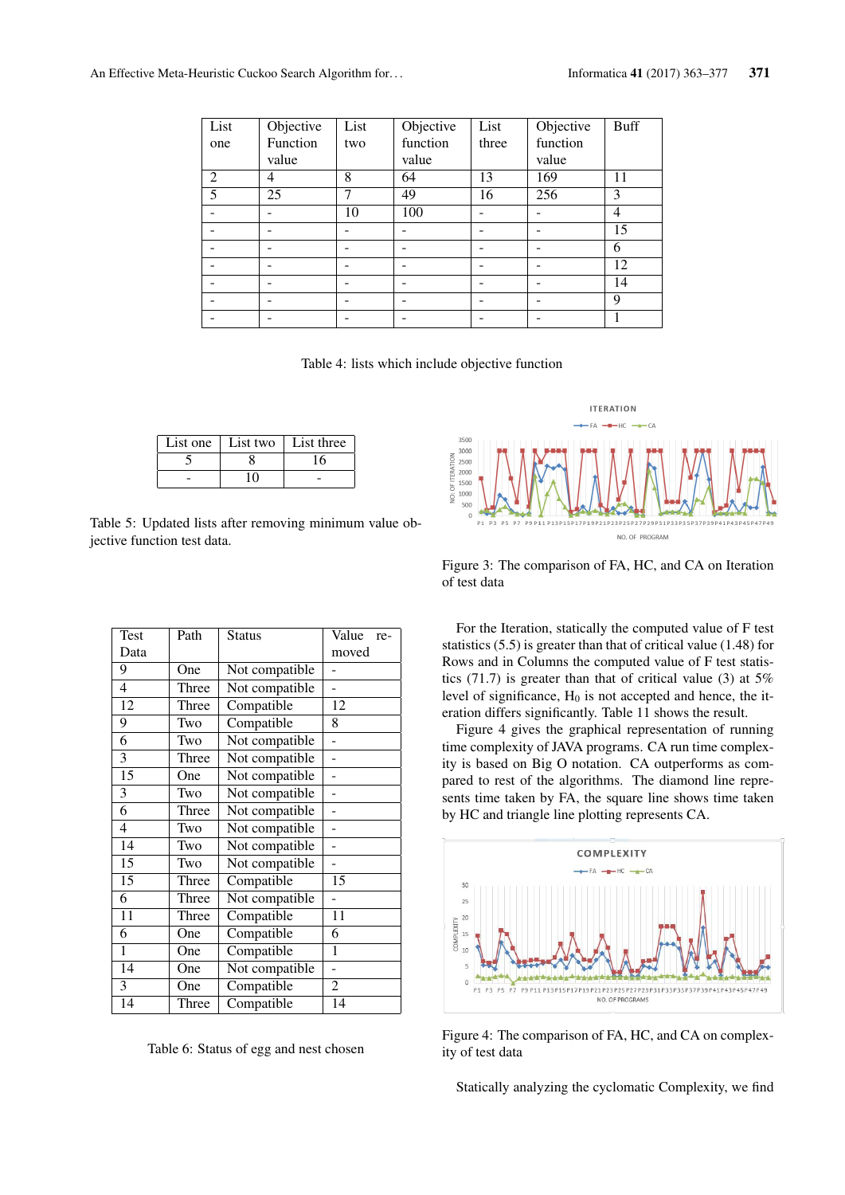| List           | Objective | List | Objective | List  | Objective | <b>Buff</b> |
|----------------|-----------|------|-----------|-------|-----------|-------------|
| one            | Function  | two  | function  | three | function  |             |
|                | value     |      | value     |       | value     |             |
| $\overline{2}$ | 4         | 8    | 64        | 13    | 169       | 11          |
| 5              | 25        | ⇁    | 49        | 16    | 256       | 3           |
|                |           | 10   | 100       |       |           | 4           |
|                |           |      |           |       |           | 15          |
|                |           |      |           |       |           | 6           |
|                |           |      |           |       |           | 12          |
|                |           |      |           |       |           | 14          |
|                |           |      |           |       |           | 9           |
|                |           |      |           |       |           |             |

Table 4: lists which include objective function

| List one | List two | List three |
|----------|----------|------------|
|          |          |            |
|          |          |            |

Table 5: Updated lists after removing minimum value objective function test data.

| <b>Test</b>     | Path  | <b>Status</b>  | Value<br>re- |
|-----------------|-------|----------------|--------------|
| Data            |       |                | moved        |
| 9               | One   | Not compatible |              |
| 4               | Three | Not compatible |              |
| 12              | Three | Compatible     | 12           |
| 9               | Two   | Compatible     | 8            |
| 6               | Two   | Not compatible |              |
| 3               | Three | Not compatible |              |
| 15              | One   | Not compatible |              |
| 3               | Two   | Not compatible | ÷            |
| 6               | Three | Not compatible |              |
| $\overline{4}$  | Two   | Not compatible |              |
| 14              | Two   | Not compatible | ÷            |
| 15              | Two   | Not compatible |              |
| $\overline{15}$ | Three | Compatible     | 15           |
| 6               | Three | Not compatible |              |
| $\overline{11}$ | Three | Compatible     | 11           |
| 6               | One   | Compatible     | 6            |
| 1               | One   | Compatible     | 1            |
| 14              | One   | Not compatible |              |
| 3               | One   | Compatible     | 2            |
| 14              | Three | Compatible     | 14           |

Table 6: Status of egg and nest chosen



Figure 3: The comparison of FA, HC, and CA on Iteration of test data

For the Iteration, statically the computed value of F test statistics (5.5) is greater than that of critical value (1.48) for Rows and in Columns the computed value of F test statistics  $(71.7)$  is greater than that of critical value  $(3)$  at 5% level of significance,  $H_0$  is not accepted and hence, the iteration differs significantly. Table 11 shows the result.

Figure 4 gives the graphical representation of running time complexity of JAVA programs. CA run time complexity is based on Big O notation. CA outperforms as compared to rest of the algorithms. The diamond line represents time taken by FA, the square line shows time taken by HC and triangle line plotting represents CA.



Figure 4: The comparison of FA, HC, and CA on complexity of test data

Statically analyzing the cyclomatic Complexity, we find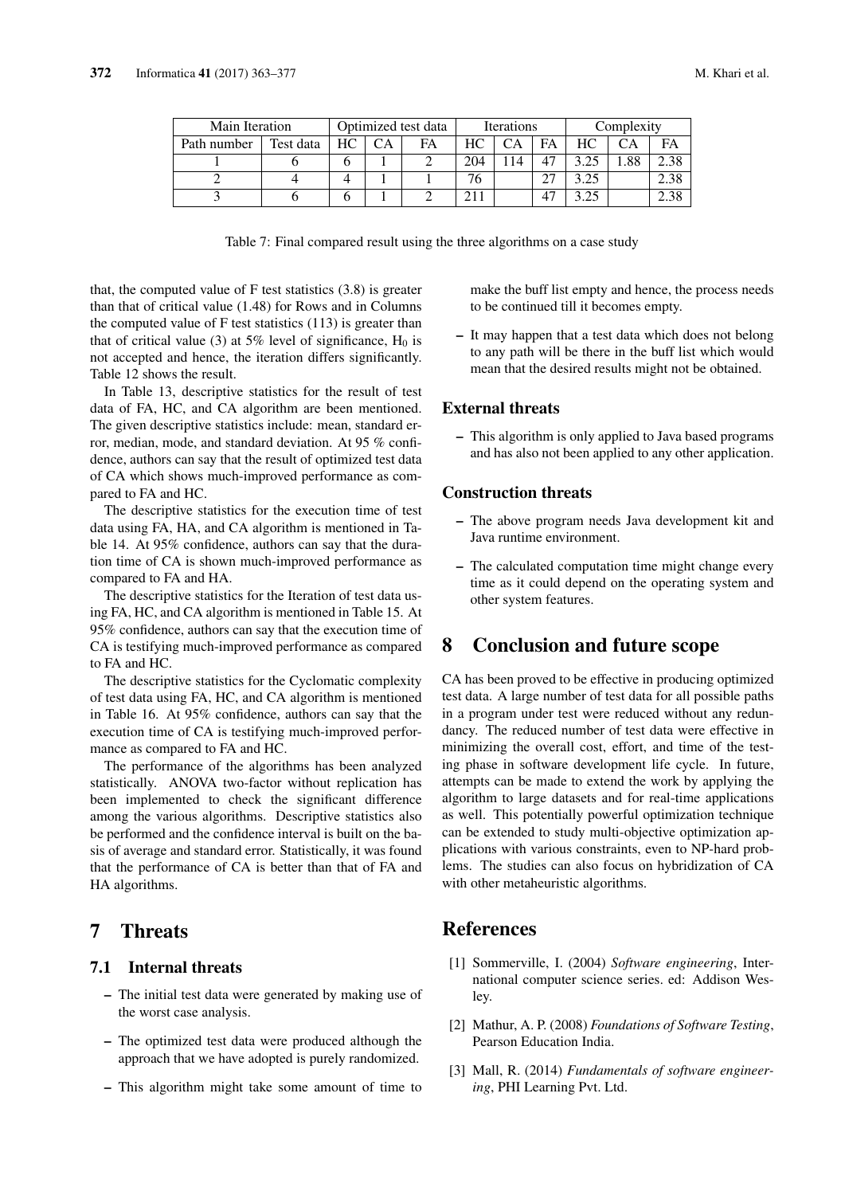| Main Iteration |           | Optimized test data |              |    | <b>Iterations</b> |    |    | Complexity |     |     |
|----------------|-----------|---------------------|--------------|----|-------------------|----|----|------------|-----|-----|
| Path number    | Test data | HC                  | $\bigcirc$ A | FA | HС                |    | FA | HC.        |     |     |
|                |           |                     |              |    | 204               | 14 | 47 | 3.25       | .88 | .38 |
|                |           |                     |              |    |                   |    | ົ  | 3.25       |     | .38 |
|                |           |                     |              |    |                   |    |    |            |     |     |

Table 7: Final compared result using the three algorithms on a case study

that, the computed value of F test statistics (3.8) is greater than that of critical value (1.48) for Rows and in Columns the computed value of F test statistics (113) is greater than that of critical value (3) at 5% level of significance,  $H_0$  is not accepted and hence, the iteration differs significantly. Table 12 shows the result.

In Table 13, descriptive statistics for the result of test data of FA, HC, and CA algorithm are been mentioned. The given descriptive statistics include: mean, standard error, median, mode, and standard deviation. At 95 % confidence, authors can say that the result of optimized test data of CA which shows much-improved performance as compared to FA and HC.

The descriptive statistics for the execution time of test data using FA, HA, and CA algorithm is mentioned in Table 14. At 95% confidence, authors can say that the duration time of CA is shown much-improved performance as compared to FA and HA.

The descriptive statistics for the Iteration of test data using FA, HC, and CA algorithm is mentioned in Table 15. At 95% confidence, authors can say that the execution time of CA is testifying much-improved performance as compared to FA and HC.

The descriptive statistics for the Cyclomatic complexity of test data using FA, HC, and CA algorithm is mentioned in Table 16. At 95% confidence, authors can say that the execution time of CA is testifying much-improved performance as compared to FA and HC.

The performance of the algorithms has been analyzed statistically. ANOVA two-factor without replication has been implemented to check the significant difference among the various algorithms. Descriptive statistics also be performed and the confidence interval is built on the basis of average and standard error. Statistically, it was found that the performance of CA is better than that of FA and HA algorithms.

## 7 Threats

## 7.1 Internal threats

- The initial test data were generated by making use of the worst case analysis.
- The optimized test data were produced although the approach that we have adopted is purely randomized.
- This algorithm might take some amount of time to

make the buff list empty and hence, the process needs to be continued till it becomes empty.

– It may happen that a test data which does not belong to any path will be there in the buff list which would mean that the desired results might not be obtained.

### External threats

– This algorithm is only applied to Java based programs and has also not been applied to any other application.

### Construction threats

- The above program needs Java development kit and Java runtime environment.
- The calculated computation time might change every time as it could depend on the operating system and other system features.

## 8 Conclusion and future scope

CA has been proved to be effective in producing optimized test data. A large number of test data for all possible paths in a program under test were reduced without any redundancy. The reduced number of test data were effective in minimizing the overall cost, effort, and time of the testing phase in software development life cycle. In future, attempts can be made to extend the work by applying the algorithm to large datasets and for real-time applications as well. This potentially powerful optimization technique can be extended to study multi-objective optimization applications with various constraints, even to NP-hard problems. The studies can also focus on hybridization of CA with other metaheuristic algorithms.

# References

- [1] Sommerville, I. (2004) *Software engineering*, International computer science series. ed: Addison Wesley.
- [2] Mathur, A. P. (2008) *Foundations of Software Testing*, Pearson Education India.
- [3] Mall, R. (2014) *Fundamentals of software engineering*, PHI Learning Pvt. Ltd.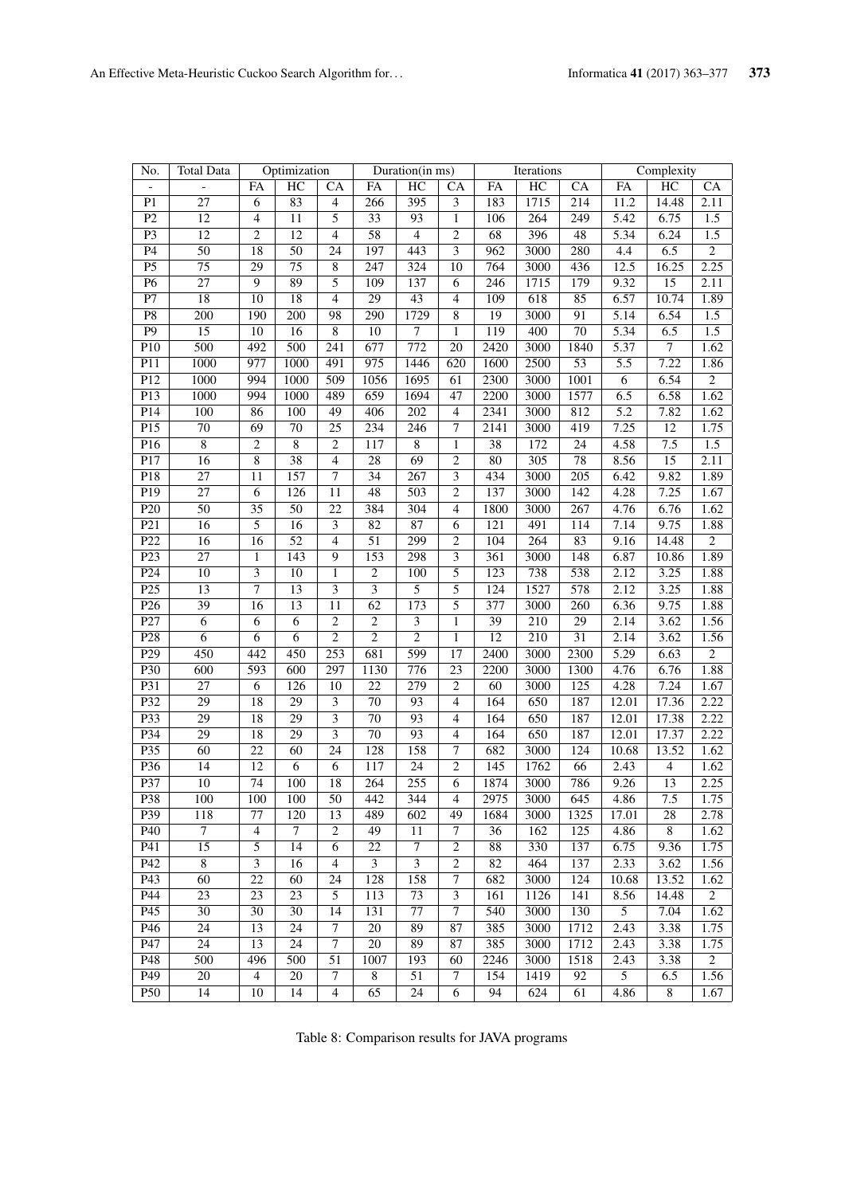| No.              | <b>Total Data</b> |                         | Optimization     |                         |                  | Duration(in ms)         |                         |                  | Iterations       |                  |                   | Complexity       |                  |
|------------------|-------------------|-------------------------|------------------|-------------------------|------------------|-------------------------|-------------------------|------------------|------------------|------------------|-------------------|------------------|------------------|
|                  |                   | FA                      | HC               | CA                      | FA               | HC                      | CA                      | FA               | HC               | $\overline{CA}$  | <b>FA</b>         | HC               | CA               |
| P <sub>1</sub>   | $\overline{27}$   | 6                       | 83               | $\overline{4}$          | 266              | 395                     | $\overline{3}$          | 183              | 1715             | $\overline{214}$ | 11.2              | 14.48            | 2.11             |
| $\overline{P2}$  | $\overline{12}$   | $\overline{4}$          | $\overline{11}$  | 5                       | $\overline{33}$  | 93                      | $\mathbf{1}$            | 106              | 264              | 249              | 5.42              | 6.75             | 1.5              |
| $\overline{P3}$  | 12                | $\mathbf{2}$            | 12               | $\overline{4}$          | $\overline{58}$  | $\overline{4}$          | $\overline{2}$          | 68               | 396              | $\overline{48}$  | 5.34              | 6.24             | $\overline{1.5}$ |
| P4               | 50                | 18                      | 50               | 24                      | 197              | 443                     | $\overline{\mathbf{3}}$ | 962              | 3000             | 280              | 4.4               | 6.5              | $\overline{2}$   |
| $\overline{P5}$  | $\overline{75}$   | $\overline{29}$         | $\overline{75}$  | $\overline{8}$          | $\overline{247}$ | 324                     | $\overline{10}$         | 764              | 3000             | 436              | 12.5              | 16.25            | 2.25             |
| $\overline{P6}$  | $\overline{27}$   | $\overline{9}$          | $\overline{89}$  | $\overline{5}$          | $\overline{109}$ | 137                     | 6                       | 246              | 1715             | 179              | 9.32              | $\overline{15}$  | 2.11             |
| $\overline{P7}$  | 18                | 10                      | 18               | $\overline{4}$          | 29               | 43                      | $\overline{4}$          | 109              | 618              | 85               | 6.57              | 10.74            | 1.89             |
| $\overline{P8}$  | 200               | 190                     | 200              | 98                      | 290              | 1729                    | $\overline{\bf 8}$      | $\overline{19}$  | 3000             | 91               | 5.14              | 6.54             | 1.5              |
| $\overline{P9}$  | $\overline{15}$   | $\overline{10}$         | $\overline{16}$  | $\overline{8}$          | $\overline{10}$  | $\overline{7}$          | $\mathbf{1}$            | $\overline{119}$ | 400              | $\overline{70}$  | 5.34              | 6.5              | 1.5              |
| P10              | 500               | 492                     | 500              | 241                     | 677              | 772                     | $\overline{20}$         | 2420             | 3000             | 1840             | 5.37              | $\overline{7}$   | 1.62             |
| P11              | 1000              | 977                     | 1000             | 491                     | 975              | 1446                    | 620                     | 1600             | 2500             | $\overline{53}$  | $\overline{5.5}$  | 7.22             | 1.86             |
| P12              | 1000              | 994                     | 1000             | 509                     | 1056             | 1695                    | 61                      | 2300             | 3000             | 1001             | $\overline{6}$    | 6.54             | $\overline{2}$   |
| P13              | 1000              | 994                     | 1000             | 489                     | 659              | 1694                    | 47                      | 2200             | 3000             | 1577             | 6.5               | 6.58             | 1.62             |
| P14              | 100               | 86                      | 100              | 49                      | 406              | 202                     | $\overline{4}$          | 2341             | 3000             | 812              | $\overline{5.2}$  | 7.82             | 1.62             |
| P15              | $\overline{70}$   | $\overline{69}$         | 70               | $\overline{25}$         | 234              | 246                     | $\overline{7}$          | 2141             | 3000             | 419              | 7.25              | $\overline{12}$  | 1.75             |
| P16              | $\overline{8}$    | $\overline{2}$          | $\overline{8}$   | $\overline{2}$          | 117              | $\overline{8}$          | $\mathbf{1}$            | $\overline{38}$  | $\overline{172}$ | $\overline{24}$  | 4.58              | $\overline{7.5}$ | $\overline{1.5}$ |
| P17              | 16                | $\overline{8}$          | 38               | $\overline{4}$          | 28               | 69                      | $\overline{2}$          | 80               | 305              | 78               | 8.56              | 15               | 2.11             |
| P <sub>18</sub>  | $\overline{27}$   | $\overline{11}$         | 157              | $\overline{7}$          | 34               | 267                     | $\overline{3}$          | 434              | 3000             | $\overline{205}$ | 6.42              | 9.82             | 1.89             |
| $\overline{P19}$ | $\overline{27}$   | $\overline{6}$          | 126              | $\overline{11}$         | $\overline{48}$  | 503                     | $\overline{2}$          | 137              | 3000             | 142              | 4.28              | 7.25             | 1.67             |
| P20              | $\overline{50}$   | $\overline{35}$         | $\overline{50}$  | 22                      | 384              | 304                     | $\overline{4}$          | 1800             | 3000             | 267              | 4.76              | 6.76             | 1.62             |
| P21              | $\overline{16}$   | $\overline{5}$          | 16               | 3                       | 82               | 87                      | $\overline{6}$          | 121              | 491              | 114              | 7.14              | 9.75             | 1.88             |
| $\overline{P22}$ | $\overline{16}$   | $\overline{16}$         | $\overline{52}$  | $\overline{4}$          | $\overline{51}$  | 299                     | $\overline{c}$          | 104              | 264              | 83               | 9.16              | 14.48            | $\overline{2}$   |
| $\overline{P23}$ | $\overline{27}$   | $\mathbf{1}$            | $\overline{143}$ | $\overline{9}$          | 153              | 298                     | 3                       | $\overline{361}$ | 3000             | 148              | 6.87              | 10.86            | 1.89             |
| P <sub>24</sub>  | 10                | $\overline{\mathbf{3}}$ | 10               | $\mathbf{1}$            | $\overline{c}$   | 100                     | $\sqrt{5}$              | 123              | 738              | 538              | 2.12              | 3.25             | 1.88             |
| P25              | 13                | $\overline{7}$          | 13               | $\overline{3}$          | $\overline{3}$   | $\overline{5}$          | $\overline{5}$          | 124              | 1527             | 578              | 2.12              | 3.25             | 1.88             |
| P26              | $\overline{39}$   | $\overline{16}$         | $\overline{13}$  | $\overline{11}$         | $\overline{62}$  | 173                     | $\overline{5}$          | 377              | 3000             | 260              | 6.36              | 9.75             | 1.88             |
| P27              | 6                 | $\overline{6}$          | 6                | $\overline{2}$          | 2                | $\overline{\mathbf{3}}$ | 1                       | 39               | 210              | 29               | 2.14              | 3.62             | 1.56             |
| P <sub>28</sub>  | $\overline{6}$    | 6                       | 6                | $\overline{2}$          | $\overline{2}$   | $\overline{2}$          | $\mathbf{1}$            | $\overline{12}$  | 210              | $\overline{31}$  | 2.14              | 3.62             | 1.56             |
| $\overline{P29}$ | 450               | 442                     | 450              | $\overline{253}$        | 681              | 599                     | $\overline{17}$         | 2400             | 3000             | 2300             | $\overline{5.29}$ | 6.63             | $\overline{2}$   |
| P <sub>30</sub>  | $\overline{600}$  | 593                     | $\overline{600}$ | 297                     | 1130             | 776                     | $\overline{23}$         | 2200             | 3000             | 1300             | 4.76              | 6.76             | 1.88             |
| P31              | 27                | $\overline{6}$          | 126              | 10                      | 22               | 279                     | $\overline{2}$          | 60               | 3000             | 125              | 4.28              | 7.24             | 1.67             |
| P32              | $\overline{29}$   | $\overline{18}$         | 29               | 3                       | $\overline{70}$  | 93                      | 4                       | 164              | 650              | 187              | 12.01             | 17.36            | 2.22             |
| $\overline{P33}$ | $\overline{29}$   | $\overline{18}$         | $\overline{29}$  | $\overline{3}$          | $\overline{70}$  | $\overline{93}$         | $\overline{4}$          | 164              | 650              | 187              | 12.01             | 17.38            | 2.22             |
| P34              | 29                | 18                      | 29               | $\overline{\mathbf{3}}$ | 70               | 93                      | $\overline{4}$          | 164              | 650              | 187              | 12.01             | 17.37            | 2.22             |
| P35              | $\overline{60}$   | $\overline{22}$         | 60               | $\overline{24}$         | 128              | 158                     | $\overline{7}$          | 682              | 3000             | 124              | 10.68             | 13.52            | 1.62             |
| P <sub>36</sub>  | $\overline{14}$   | $\overline{12}$         | 6                | 6                       | 117              | $\overline{24}$         | $\overline{2}$          | $\overline{145}$ | 1762             | 66               | 2.43              | $\overline{4}$   | 1.62             |
| P37              | 10                | $\overline{74}$         | 100              | 18                      | 264              | 255                     | $\overline{6}$          | 1874             | 3000             | 786              | 9.26              | 13               | 2.25             |
| P38              | $\overline{100}$  | 100                     | 100              | $\overline{50}$         | 442              | 344                     | $\overline{4}$          | 2975             | 3000             | 645              | 4.86              | 7.5              | 1.75             |
| P39              | 118               | 77                      | 120              | 13                      | 489              | 602                     | 49                      | 1684             | 3000             | 1325             | 17.01             | 28               | 2.78             |
| P40              | $\tau$            | $\overline{4}$          | 7                | $\overline{2}$          | 49               | 11                      | 7                       | 36               | 162              | 125              | 4.86              | 8                | 1.62             |
| P41              | 15                | 5                       | 14               | 6                       | 22               | 7                       | $\overline{c}$          | 88               | 330              | 137              | 6.75              | 9.36             | 1.75             |
| P42              | $\overline{8}$    | 3                       | 16               | 4                       | $\overline{3}$   | $\overline{3}$          | $\overline{\mathbf{c}}$ | 82               | 464              | 137              | 2.33              | 3.62             | 1.56             |
| P43              | $\overline{60}$   | $\overline{22}$         | 60               | $\overline{24}$         | 128              | 158                     | $\overline{7}$          | 682              | 3000             | 124              | 10.68             | 13.52            | 1.62             |
| P44              | 23                | 23                      | 23               | 5                       | 113              | 73                      | 3                       | 161              | 1126             | 141              | 8.56              | 14.48            | $\overline{2}$   |
| P45              | $\overline{30}$   | $\overline{30}$         | $\overline{30}$  | 14                      | 131              | $\overline{77}$         | $\overline{7}$          | 540              | 3000             | 130              | $\overline{5}$    | 7.04             | 1.62             |
| P <sub>46</sub>  | $\overline{24}$   | 13                      | 24               | $\tau$                  | 20               | 89                      | 87                      | 385              | 3000             | 1712             | 2.43              | 3.38             | 1.75             |
| P47              | 24                | 13                      | 24               | $\overline{7}$          | 20               | 89                      | 87                      | 385              | 3000             | 1712             | 2.43              | 3.38             | 1.75             |
| P48              | 500               | 496                     | 500              | 51                      | 1007             | 193                     | 60                      | 2246             | 3000             | 1518             | 2.43              | 3.38             | $\overline{2}$   |
| P49              | $\overline{20}$   | $\overline{4}$          | $\overline{20}$  | $\tau$                  | 8                | $\overline{51}$         | $\tau$                  | 154              | 1419             | 92               | $\overline{5}$    | 6.5              | 1.56             |
| P <sub>50</sub>  | 14                | 10                      | 14               | $\overline{4}$          | $\overline{65}$  | $\overline{24}$         | 6                       | 94               | 624              | 61               | 4.86              | 8                | 1.67             |
|                  |                   |                         |                  |                         |                  |                         |                         |                  |                  |                  |                   |                  |                  |

Table 8: Comparison results for JAVA programs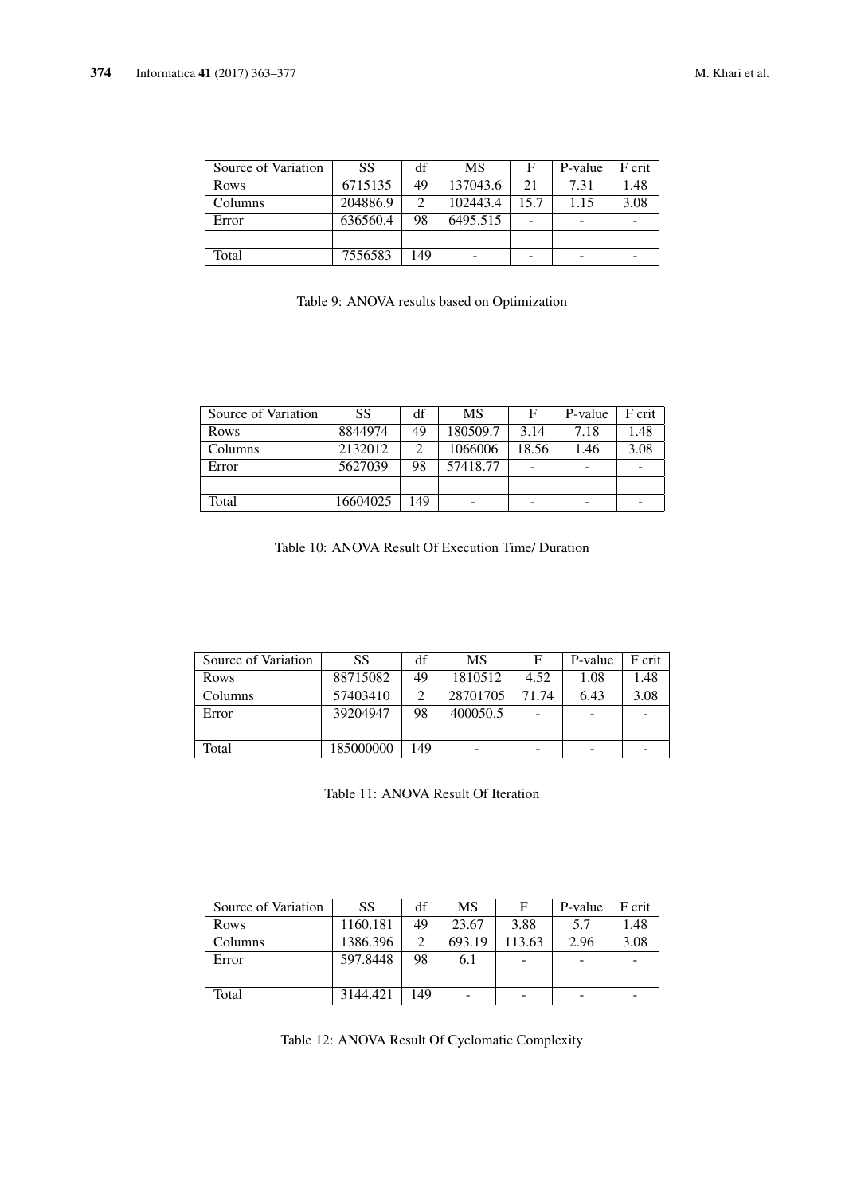| Source of Variation | SS       | df   | MS       | F    | P-value | F crit |
|---------------------|----------|------|----------|------|---------|--------|
| Rows                | 6715135  | 49   | 137043.6 | 21   | 7.31    | 1.48   |
| Columns             | 204886.9 |      | 102443.4 | 15.7 | 1.15    | 3.08   |
| Error               | 636560.4 | 98   | 6495.515 |      |         |        |
|                     |          |      |          |      |         |        |
| Total               | 7556583  | 149. |          |      |         |        |

|  | Table 9: ANOVA results based on Optimization |
|--|----------------------------------------------|
|--|----------------------------------------------|

| Source of Variation | SS       | df  | MS       | F     | P-value | F crit |
|---------------------|----------|-----|----------|-------|---------|--------|
| <b>Rows</b>         | 8844974  | 49  | 180509.7 | 3.14  | 7.18    | 1.48   |
| Columns             | 2132012  |     | 1066006  | 18.56 | 1.46    | 3.08   |
| Error               | 5627039  | 98  | 57418.77 |       |         |        |
|                     |          |     |          |       |         |        |
| Total               | 16604025 | 149 |          |       |         |        |

Table 10: ANOVA Result Of Execution Time/ Duration

| Source of Variation | SS        | df                          | <b>MS</b> | F     | P-value                  | F crit |
|---------------------|-----------|-----------------------------|-----------|-------|--------------------------|--------|
| Rows                | 88715082  | 49                          | 1810512   | 4.52  | 1.08                     | 1.48   |
| Columns             | 57403410  | $\mathcal{D}_{\mathcal{L}}$ | 28701705  | 71.74 | 6.43                     | 3.08   |
| Error               | 39204947  | 98                          | 400050.5  |       | $\overline{\phantom{0}}$ |        |
|                     |           |                             |           |       |                          |        |
| Total               | 185000000 | 149                         | -         |       | $\qquad \qquad$          |        |

Table 11: ANOVA Result Of Iteration

| Source of Variation | SS       | df  | <b>MS</b> | F               | P-value | F crit |
|---------------------|----------|-----|-----------|-----------------|---------|--------|
| Rows                | 1160.181 | 49  | 23.67     | 3.88            | 5.7     | 1.48   |
| Columns             | 1386.396 | 2   | 693.19    | 113.63          | 2.96    | 3.08   |
| Error               | 597.8448 | 98  | 6.1       | $\qquad \qquad$ |         | -      |
|                     |          |     |           |                 |         |        |
| Total               | 3144.421 | 149 |           | -               |         | -      |

Table 12: ANOVA Result Of Cyclomatic Complexity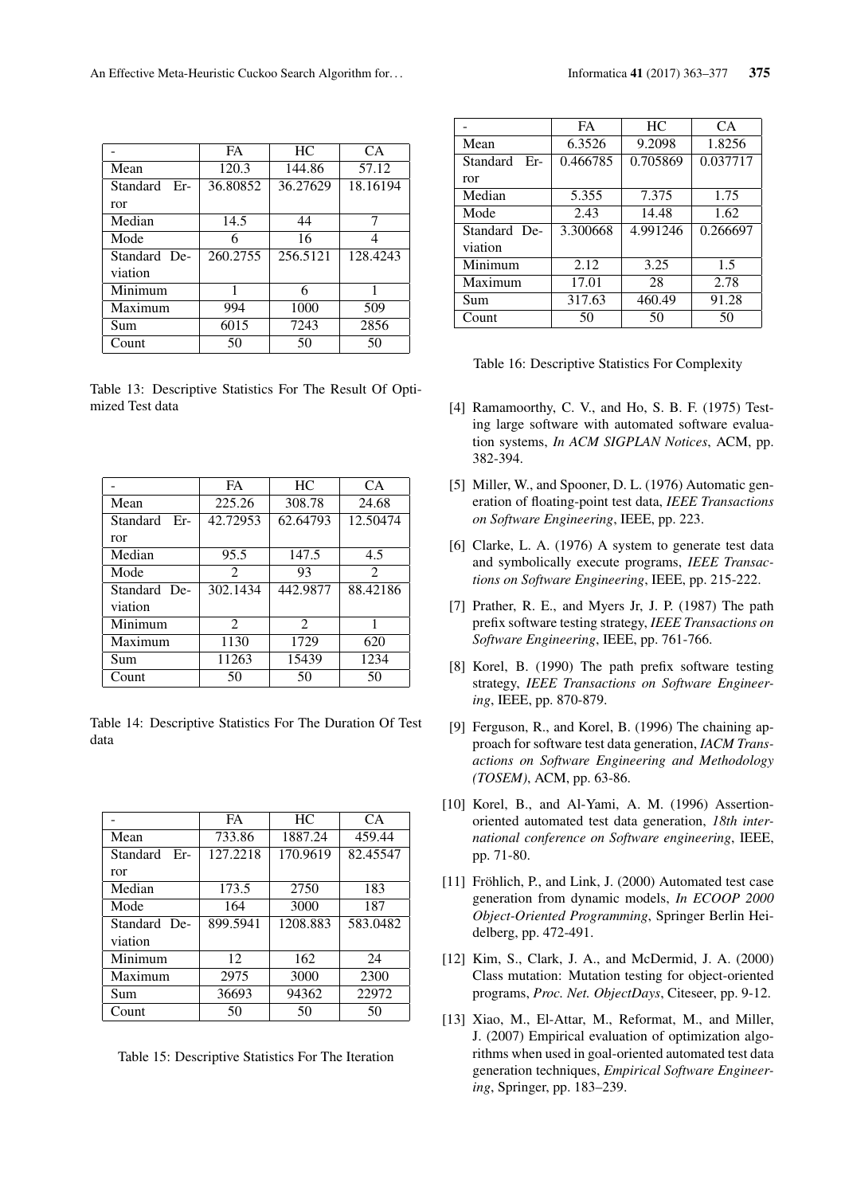|              | <b>FA</b> | HC       | CA.      |  |
|--------------|-----------|----------|----------|--|
| Mean         | 120.3     | 144.86   | 57.12    |  |
| Standard Er- | 36.80852  | 36.27629 | 18.16194 |  |
| ror          |           |          |          |  |
| Median       | 14.5      | 44       | 7        |  |
| Mode         | 6         | 16       | 4        |  |
| Standard De- | 260.2755  | 256.5121 | 128.4243 |  |
| viation      |           |          |          |  |
| Minimum      | 1         | 6        | 1        |  |
| Maximum      | 994       | 1000     | 509      |  |
| Sum          | 6015      | 7243     | 2856     |  |
| Count        | 50        | 50       | 50       |  |

Table 13: Descriptive Statistics For The Result Of Optimized Test data

|              | <b>FA</b>                   | HC                          | CA.            |  |
|--------------|-----------------------------|-----------------------------|----------------|--|
| Mean         | 225.26                      | 308.78                      | 24.68          |  |
| Standard Er- | 42.72953                    | 62.64793                    | 12.50474       |  |
| ror          |                             |                             |                |  |
| Median       | 95.5                        | 147.5                       | 4.5            |  |
| Mode         | $\mathfrak{D}$              | 93                          | $\mathfrak{D}$ |  |
| Standard De- | 302.1434                    | 442.9877                    | 88.42186       |  |
| viation      |                             |                             |                |  |
| Minimum      | $\mathcal{D}_{\mathcal{L}}$ | $\mathcal{D}_{\mathcal{L}}$ | 1              |  |
| Maximum      | 1130                        | 1729                        | 620            |  |
| Sum          | 11263                       | 15439                       | 1234           |  |
| Count        | 50                          | 50                          | 50             |  |

Table 14: Descriptive Statistics For The Duration Of Test data

|                 | <b>FA</b> | HС       | CA.      |  |
|-----------------|-----------|----------|----------|--|
| Mean            | 733.86    | 1887.24  | 459.44   |  |
| Standard<br>Er- | 127.2218  | 170.9619 | 82.45547 |  |
| ror             |           |          |          |  |
| Median          | 173.5     | 2750     | 183      |  |
| Mode            | 164       | 3000     | 187      |  |
| Standard De-    | 899.5941  | 1208.883 | 583.0482 |  |
| viation         |           |          |          |  |
| Minimum         | 12        | 162      | 24       |  |
| Maximum         | 2975      | 3000     | 2300     |  |
| Sum             | 36693     | 94362    | 22972    |  |
| Count           | 50        | 50       | 50       |  |

Table 15: Descriptive Statistics For The Iteration

|                   | FA       | HC       | CA.      |  |
|-------------------|----------|----------|----------|--|
| Mean              | 6.3526   | 9.2098   | 1.8256   |  |
| Standard<br>$Er-$ | 0.466785 | 0.705869 | 0.037717 |  |
| ror               |          |          |          |  |
| Median            | 5.355    | 7.375    | 1.75     |  |
| Mode              | 2.43     | 14.48    | 1.62     |  |
| Standard De-      | 3.300668 | 4.991246 | 0.266697 |  |
| viation           |          |          |          |  |
| Minimum           | 2.12     | 3.25     | 1.5      |  |
| Maximum           | 17.01    | 28       | 2.78     |  |
| Sum               | 317.63   | 460.49   | 91.28    |  |
| Count             | 50       | 50       | 50       |  |

Table 16: Descriptive Statistics For Complexity

- [4] Ramamoorthy, C. V., and Ho, S. B. F. (1975) Testing large software with automated software evaluation systems, *In ACM SIGPLAN Notices*, ACM, pp. 382-394.
- [5] Miller, W., and Spooner, D. L. (1976) Automatic generation of floating-point test data, *IEEE Transactions on Software Engineering*, IEEE, pp. 223.
- [6] Clarke, L. A. (1976) A system to generate test data and symbolically execute programs, *IEEE Transactions on Software Engineering*, IEEE, pp. 215-222.
- [7] Prather, R. E., and Myers Jr, J. P. (1987) The path prefix software testing strategy, *IEEE Transactions on Software Engineering*, IEEE, pp. 761-766.
- [8] Korel, B. (1990) The path prefix software testing strategy, *IEEE Transactions on Software Engineering*, IEEE, pp. 870-879.
- [9] Ferguson, R., and Korel, B. (1996) The chaining approach for software test data generation, *IACM Transactions on Software Engineering and Methodology (TOSEM)*, ACM, pp. 63-86.
- [10] Korel, B., and Al-Yami, A. M. (1996) Assertionoriented automated test data generation, *18th international conference on Software engineering*, IEEE, pp. 71-80.
- [11] Fröhlich, P., and Link, J. (2000) Automated test case generation from dynamic models, *In ECOOP 2000 Object-Oriented Programming*, Springer Berlin Heidelberg, pp. 472-491.
- [12] Kim, S., Clark, J. A., and McDermid, J. A. (2000) Class mutation: Mutation testing for object-oriented programs, *Proc. Net. ObjectDays*, Citeseer, pp. 9-12.
- [13] Xiao, M., El-Attar, M., Reformat, M., and Miller, J. (2007) Empirical evaluation of optimization algorithms when used in goal-oriented automated test data generation techniques, *Empirical Software Engineering*, Springer, pp. 183–239.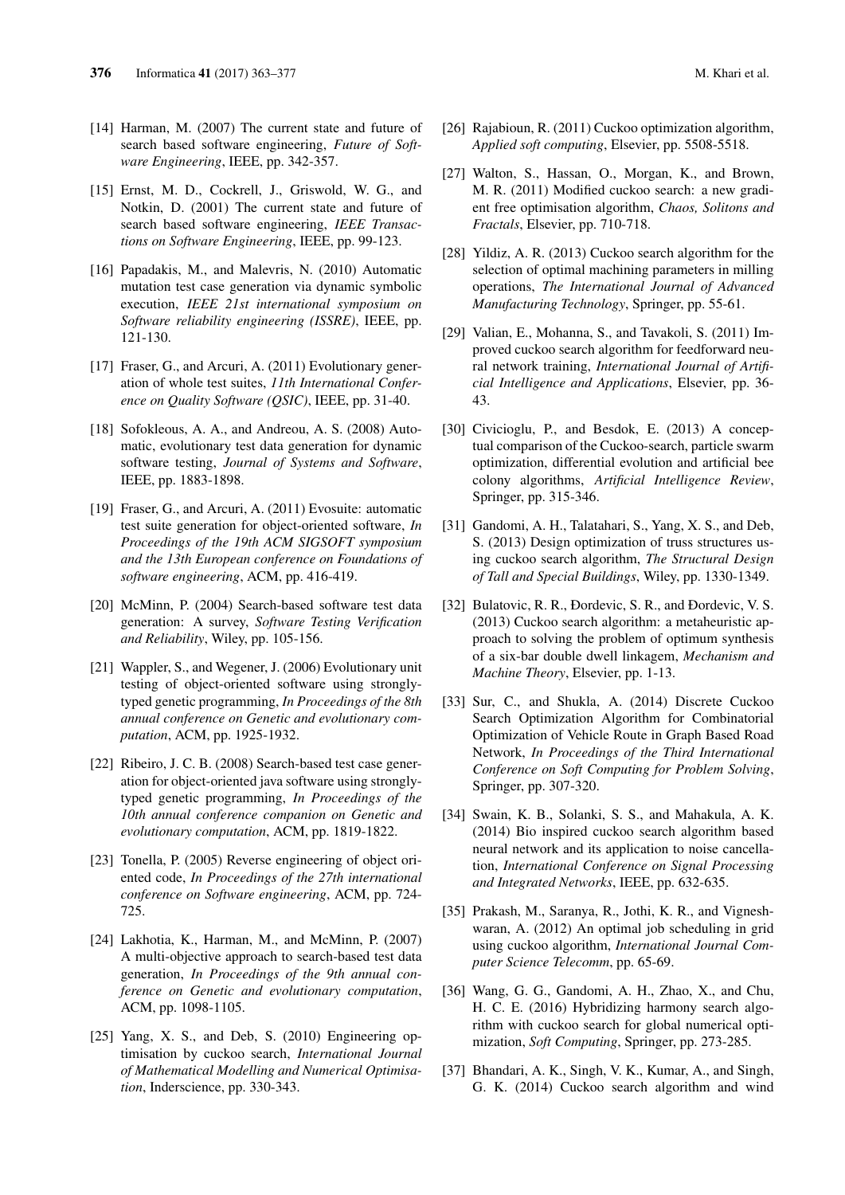- [14] Harman, M. (2007) The current state and future of search based software engineering, *Future of Software Engineering*, IEEE, pp. 342-357.
- [15] Ernst, M. D., Cockrell, J., Griswold, W. G., and Notkin, D. (2001) The current state and future of search based software engineering, *IEEE Transactions on Software Engineering*, IEEE, pp. 99-123.
- [16] Papadakis, M., and Malevris, N. (2010) Automatic mutation test case generation via dynamic symbolic execution, *IEEE 21st international symposium on Software reliability engineering (ISSRE)*, IEEE, pp. 121-130.
- [17] Fraser, G., and Arcuri, A. (2011) Evolutionary generation of whole test suites, *11th International Conference on Quality Software (QSIC)*, IEEE, pp. 31-40.
- [18] Sofokleous, A. A., and Andreou, A. S. (2008) Automatic, evolutionary test data generation for dynamic software testing, *Journal of Systems and Software*, IEEE, pp. 1883-1898.
- [19] Fraser, G., and Arcuri, A. (2011) Evosuite: automatic test suite generation for object-oriented software, *In Proceedings of the 19th ACM SIGSOFT symposium and the 13th European conference on Foundations of software engineering*, ACM, pp. 416-419.
- [20] McMinn, P. (2004) Search-based software test data generation: A survey, *Software Testing Verification and Reliability*, Wiley, pp. 105-156.
- [21] Wappler, S., and Wegener, J. (2006) Evolutionary unit testing of object-oriented software using stronglytyped genetic programming, *In Proceedings of the 8th annual conference on Genetic and evolutionary computation*, ACM, pp. 1925-1932.
- [22] Ribeiro, J. C. B. (2008) Search-based test case generation for object-oriented java software using stronglytyped genetic programming, *In Proceedings of the 10th annual conference companion on Genetic and evolutionary computation*, ACM, pp. 1819-1822.
- [23] Tonella, P. (2005) Reverse engineering of object oriented code, *In Proceedings of the 27th international conference on Software engineering*, ACM, pp. 724- 725.
- [24] Lakhotia, K., Harman, M., and McMinn, P. (2007) A multi-objective approach to search-based test data generation, *In Proceedings of the 9th annual conference on Genetic and evolutionary computation*, ACM, pp. 1098-1105.
- [25] Yang, X. S., and Deb, S. (2010) Engineering optimisation by cuckoo search, *International Journal of Mathematical Modelling and Numerical Optimisation*, Inderscience, pp. 330-343.
- [26] Rajabioun, R. (2011) Cuckoo optimization algorithm, *Applied soft computing*, Elsevier, pp. 5508-5518.
- [27] Walton, S., Hassan, O., Morgan, K., and Brown, M. R. (2011) Modified cuckoo search: a new gradient free optimisation algorithm, *Chaos, Solitons and Fractals*, Elsevier, pp. 710-718.
- [28] Yildiz, A. R. (2013) Cuckoo search algorithm for the selection of optimal machining parameters in milling operations, *The International Journal of Advanced Manufacturing Technology*, Springer, pp. 55-61.
- [29] Valian, E., Mohanna, S., and Tavakoli, S. (2011) Improved cuckoo search algorithm for feedforward neural network training, *International Journal of Artificial Intelligence and Applications*, Elsevier, pp. 36- 43.
- [30] Civicioglu, P., and Besdok, E. (2013) A conceptual comparison of the Cuckoo-search, particle swarm optimization, differential evolution and artificial bee colony algorithms, *Artificial Intelligence Review*, Springer, pp. 315-346.
- [31] Gandomi, A. H., Talatahari, S., Yang, X. S., and Deb, S. (2013) Design optimization of truss structures using cuckoo search algorithm, *The Structural Design of Tall and Special Buildings*, Wiley, pp. 1330-1349.
- [32] Bulatovic, R. R., Đordevic, S. R., and Đordevic, V. S. (2013) Cuckoo search algorithm: a metaheuristic approach to solving the problem of optimum synthesis of a six-bar double dwell linkagem, *Mechanism and Machine Theory*, Elsevier, pp. 1-13.
- [33] Sur, C., and Shukla, A. (2014) Discrete Cuckoo Search Optimization Algorithm for Combinatorial Optimization of Vehicle Route in Graph Based Road Network, *In Proceedings of the Third International Conference on Soft Computing for Problem Solving*, Springer, pp. 307-320.
- [34] Swain, K. B., Solanki, S. S., and Mahakula, A. K. (2014) Bio inspired cuckoo search algorithm based neural network and its application to noise cancellation, *International Conference on Signal Processing and Integrated Networks*, IEEE, pp. 632-635.
- [35] Prakash, M., Saranya, R., Jothi, K. R., and Vigneshwaran, A. (2012) An optimal job scheduling in grid using cuckoo algorithm, *International Journal Computer Science Telecomm*, pp. 65-69.
- [36] Wang, G. G., Gandomi, A. H., Zhao, X., and Chu, H. C. E. (2016) Hybridizing harmony search algorithm with cuckoo search for global numerical optimization, *Soft Computing*, Springer, pp. 273-285.
- [37] Bhandari, A. K., Singh, V. K., Kumar, A., and Singh, G. K. (2014) Cuckoo search algorithm and wind